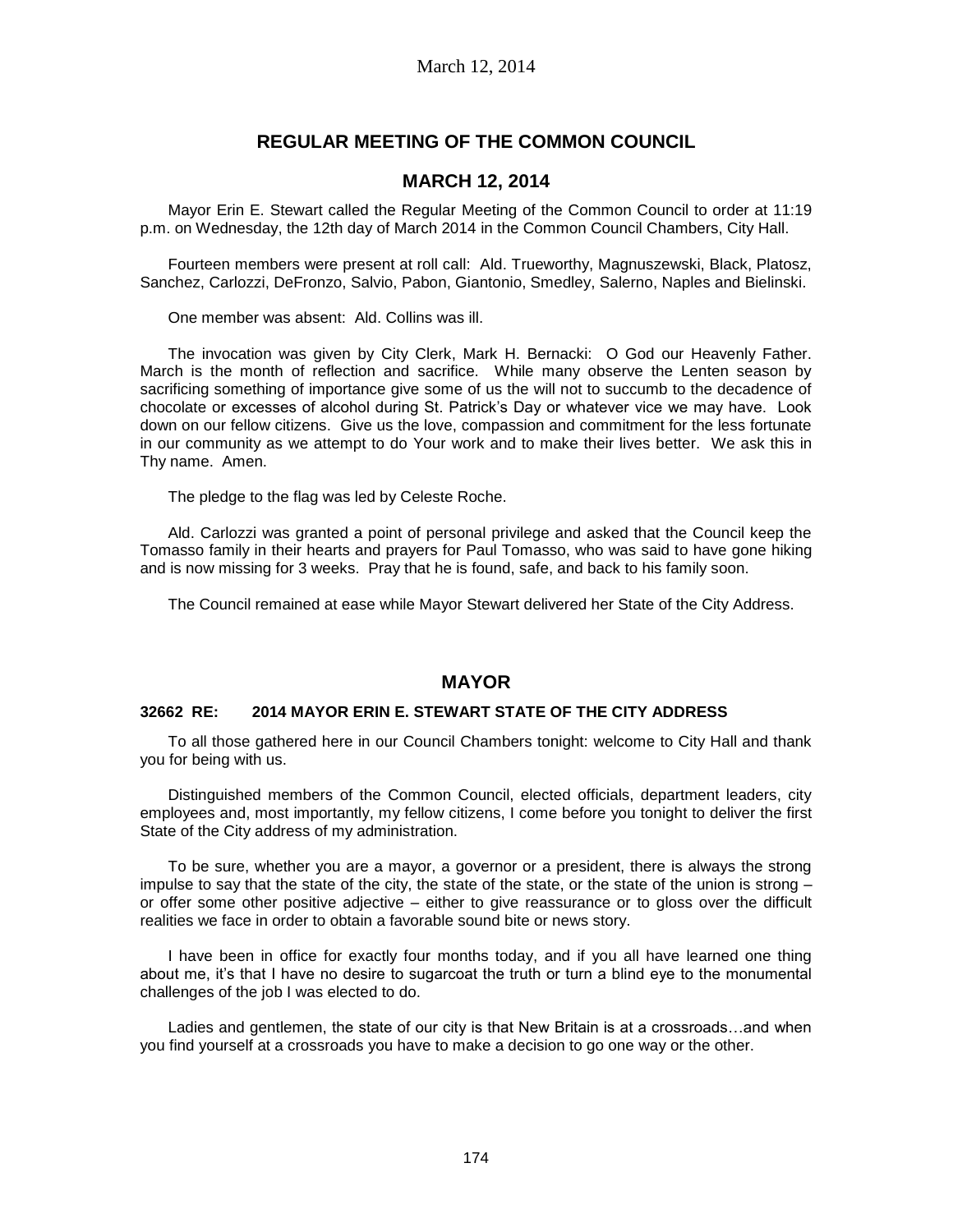# **REGULAR MEETING OF THE COMMON COUNCIL**

## **MARCH 12, 2014**

Mayor Erin E. Stewart called the Regular Meeting of the Common Council to order at 11:19 p.m. on Wednesday, the 12th day of March 2014 in the Common Council Chambers, City Hall.

Fourteen members were present at roll call: Ald. Trueworthy, Magnuszewski, Black, Platosz, Sanchez, Carlozzi, DeFronzo, Salvio, Pabon, Giantonio, Smedley, Salerno, Naples and Bielinski.

One member was absent: Ald. Collins was ill.

The invocation was given by City Clerk, Mark H. Bernacki: O God our Heavenly Father. March is the month of reflection and sacrifice. While many observe the Lenten season by sacrificing something of importance give some of us the will not to succumb to the decadence of chocolate or excesses of alcohol during St. Patrick's Day or whatever vice we may have. Look down on our fellow citizens. Give us the love, compassion and commitment for the less fortunate in our community as we attempt to do Your work and to make their lives better. We ask this in Thy name. Amen.

The pledge to the flag was led by Celeste Roche.

Ald. Carlozzi was granted a point of personal privilege and asked that the Council keep the Tomasso family in their hearts and prayers for Paul Tomasso, who was said to have gone hiking and is now missing for 3 weeks. Pray that he is found, safe, and back to his family soon.

The Council remained at ease while Mayor Stewart delivered her State of the City Address.

## **MAYOR**

### **32662 RE: 2014 MAYOR ERIN E. STEWART STATE OF THE CITY ADDRESS**

To all those gathered here in our Council Chambers tonight: welcome to City Hall and thank you for being with us.

Distinguished members of the Common Council, elected officials, department leaders, city employees and, most importantly, my fellow citizens, I come before you tonight to deliver the first State of the City address of my administration.

To be sure, whether you are a mayor, a governor or a president, there is always the strong impulse to say that the state of the city, the state of the state, or the state of the union is strong  $$ or offer some other positive adjective – either to give reassurance or to gloss over the difficult realities we face in order to obtain a favorable sound bite or news story.

I have been in office for exactly four months today, and if you all have learned one thing about me, it's that I have no desire to sugarcoat the truth or turn a blind eye to the monumental challenges of the job I was elected to do.

Ladies and gentlemen, the state of our city is that New Britain is at a crossroads…and when you find yourself at a crossroads you have to make a decision to go one way or the other.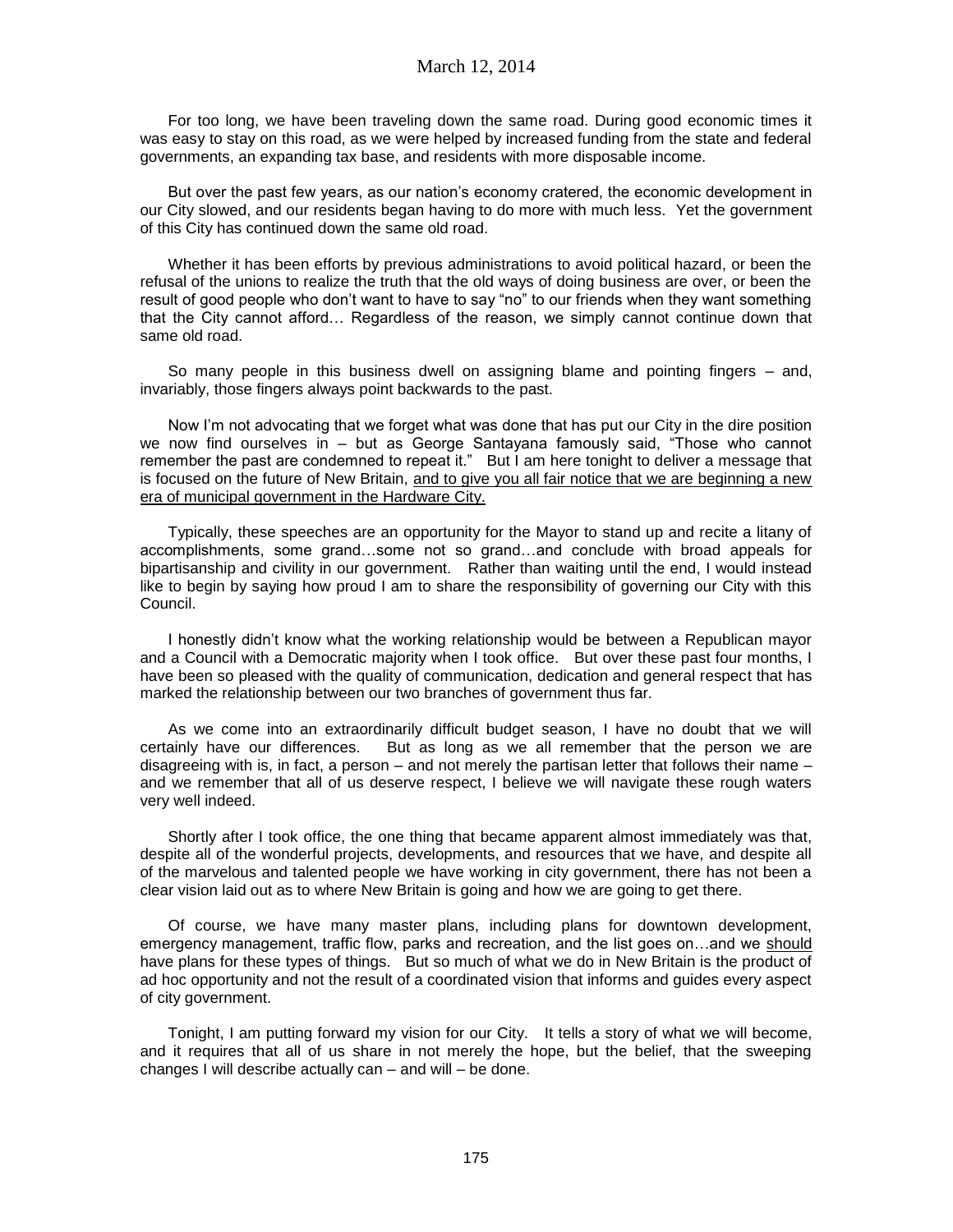For too long, we have been traveling down the same road. During good economic times it was easy to stay on this road, as we were helped by increased funding from the state and federal governments, an expanding tax base, and residents with more disposable income.

But over the past few years, as our nation's economy cratered, the economic development in our City slowed, and our residents began having to do more with much less. Yet the government of this City has continued down the same old road.

Whether it has been efforts by previous administrations to avoid political hazard, or been the refusal of the unions to realize the truth that the old ways of doing business are over, or been the result of good people who don't want to have to say "no" to our friends when they want something that the City cannot afford… Regardless of the reason, we simply cannot continue down that same old road.

So many people in this business dwell on assigning blame and pointing fingers – and, invariably, those fingers always point backwards to the past.

Now I'm not advocating that we forget what was done that has put our City in the dire position we now find ourselves in – but as George Santayana famously said, "Those who cannot remember the past are condemned to repeat it." But I am here tonight to deliver a message that is focused on the future of New Britain, and to give you all fair notice that we are beginning a new era of municipal government in the Hardware City.

Typically, these speeches are an opportunity for the Mayor to stand up and recite a litany of accomplishments, some grand…some not so grand…and conclude with broad appeals for bipartisanship and civility in our government. Rather than waiting until the end, I would instead like to begin by saying how proud I am to share the responsibility of governing our City with this Council.

I honestly didn't know what the working relationship would be between a Republican mayor and a Council with a Democratic majority when I took office. But over these past four months, I have been so pleased with the quality of communication, dedication and general respect that has marked the relationship between our two branches of government thus far.

As we come into an extraordinarily difficult budget season, I have no doubt that we will certainly have our differences. But as long as we all remember that the person we are disagreeing with is, in fact, a person – and not merely the partisan letter that follows their name – and we remember that all of us deserve respect, I believe we will navigate these rough waters very well indeed.

Shortly after I took office, the one thing that became apparent almost immediately was that, despite all of the wonderful projects, developments, and resources that we have, and despite all of the marvelous and talented people we have working in city government, there has not been a clear vision laid out as to where New Britain is going and how we are going to get there.

Of course, we have many master plans, including plans for downtown development, emergency management, traffic flow, parks and recreation, and the list goes on…and we should have plans for these types of things. But so much of what we do in New Britain is the product of ad hoc opportunity and not the result of a coordinated vision that informs and guides every aspect of city government.

Tonight, I am putting forward my vision for our City. It tells a story of what we will become, and it requires that all of us share in not merely the hope, but the belief, that the sweeping changes I will describe actually can – and will – be done.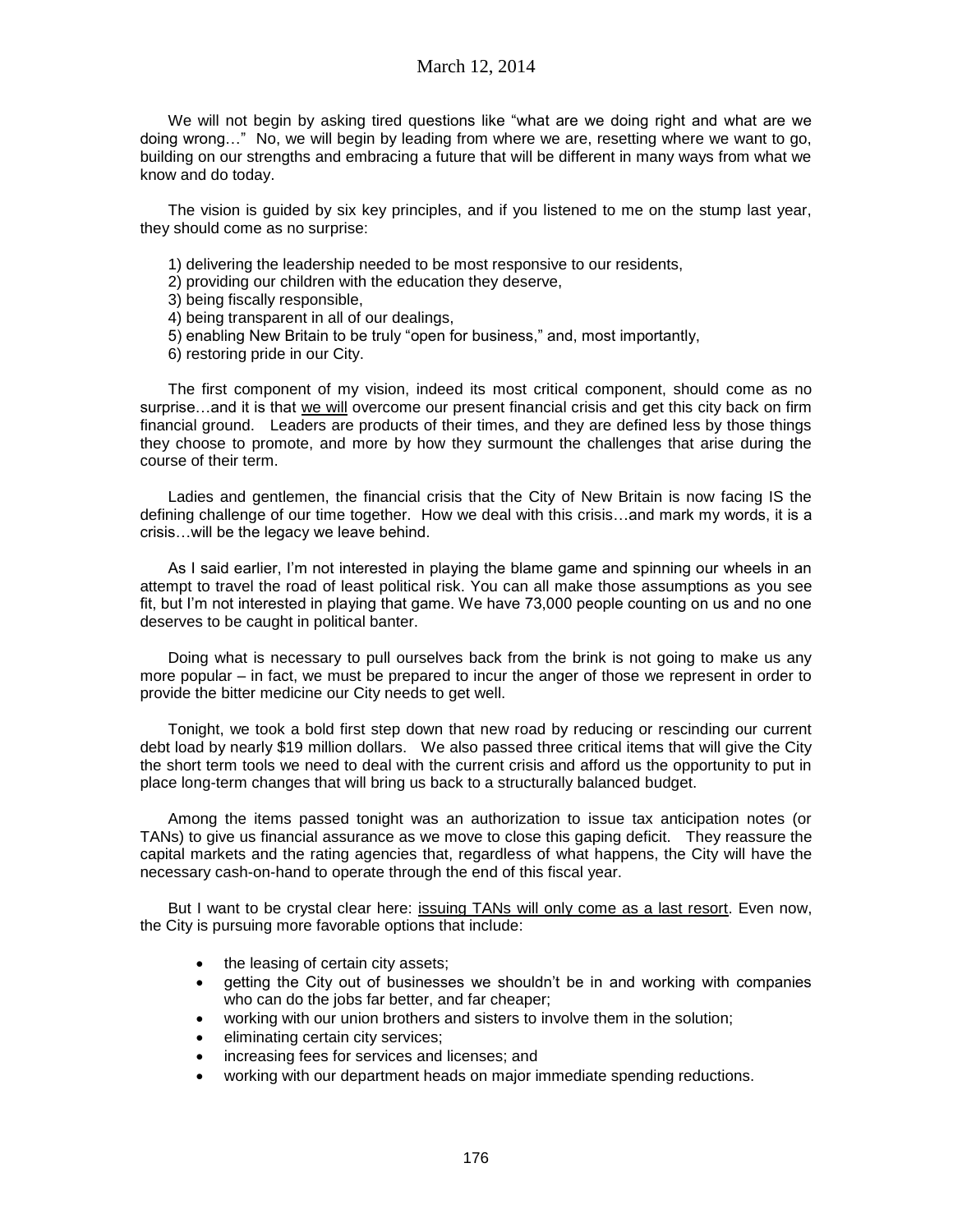We will not begin by asking tired questions like "what are we doing right and what are we doing wrong…" No, we will begin by leading from where we are, resetting where we want to go, building on our strengths and embracing a future that will be different in many ways from what we know and do today.

The vision is guided by six key principles, and if you listened to me on the stump last year, they should come as no surprise:

- 1) delivering the leadership needed to be most responsive to our residents,
- 2) providing our children with the education they deserve,
- 3) being fiscally responsible,
- 4) being transparent in all of our dealings,
- 5) enabling New Britain to be truly "open for business," and, most importantly,
- 6) restoring pride in our City.

The first component of my vision, indeed its most critical component, should come as no surprise…and it is that we will overcome our present financial crisis and get this city back on firm financial ground. Leaders are products of their times, and they are defined less by those things they choose to promote, and more by how they surmount the challenges that arise during the course of their term.

Ladies and gentlemen, the financial crisis that the City of New Britain is now facing IS the defining challenge of our time together. How we deal with this crisis…and mark my words, it is a crisis…will be the legacy we leave behind.

As I said earlier, I'm not interested in playing the blame game and spinning our wheels in an attempt to travel the road of least political risk. You can all make those assumptions as you see fit, but I'm not interested in playing that game. We have 73,000 people counting on us and no one deserves to be caught in political banter.

Doing what is necessary to pull ourselves back from the brink is not going to make us any more popular – in fact, we must be prepared to incur the anger of those we represent in order to provide the bitter medicine our City needs to get well.

Tonight, we took a bold first step down that new road by reducing or rescinding our current debt load by nearly \$19 million dollars. We also passed three critical items that will give the City the short term tools we need to deal with the current crisis and afford us the opportunity to put in place long-term changes that will bring us back to a structurally balanced budget.

Among the items passed tonight was an authorization to issue tax anticipation notes (or TANs) to give us financial assurance as we move to close this gaping deficit. They reassure the capital markets and the rating agencies that, regardless of what happens, the City will have the necessary cash-on-hand to operate through the end of this fiscal year.

But I want to be crystal clear here: issuing TANs will only come as a last resort. Even now, the City is pursuing more favorable options that include:

- the leasing of certain city assets;
- getting the City out of businesses we shouldn't be in and working with companies who can do the jobs far better, and far cheaper;
- working with our union brothers and sisters to involve them in the solution;
- eliminating certain city services;
- increasing fees for services and licenses; and
- working with our department heads on major immediate spending reductions.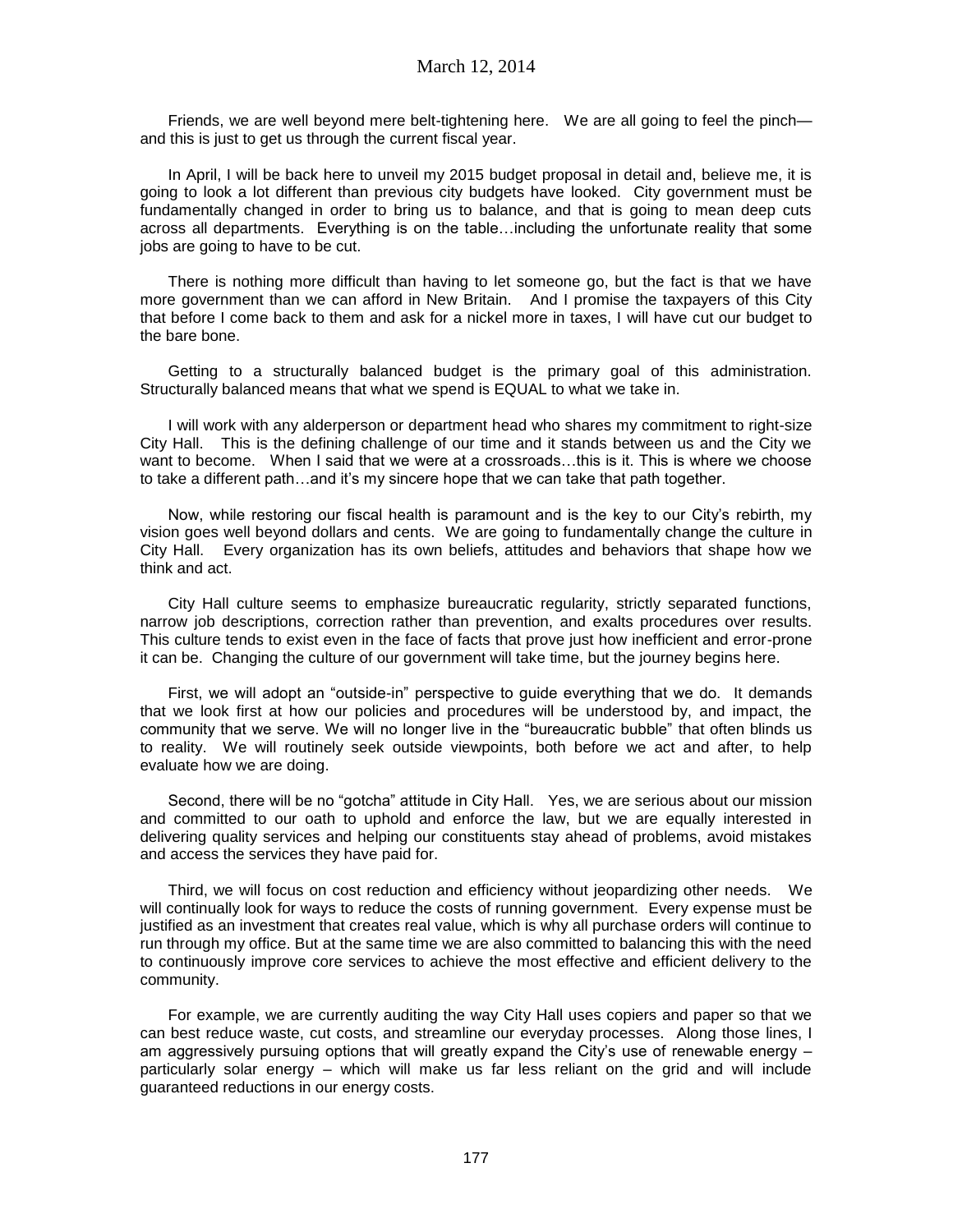Friends, we are well beyond mere belt-tightening here. We are all going to feel the pinch and this is just to get us through the current fiscal year.

In April, I will be back here to unveil my 2015 budget proposal in detail and, believe me, it is going to look a lot different than previous city budgets have looked. City government must be fundamentally changed in order to bring us to balance, and that is going to mean deep cuts across all departments. Everything is on the table…including the unfortunate reality that some jobs are going to have to be cut.

There is nothing more difficult than having to let someone go, but the fact is that we have more government than we can afford in New Britain. And I promise the taxpayers of this City that before I come back to them and ask for a nickel more in taxes, I will have cut our budget to the bare bone.

Getting to a structurally balanced budget is the primary goal of this administration. Structurally balanced means that what we spend is EQUAL to what we take in.

I will work with any alderperson or department head who shares my commitment to right-size City Hall. This is the defining challenge of our time and it stands between us and the City we want to become. When I said that we were at a crossroads...this is it. This is where we choose to take a different path…and it's my sincere hope that we can take that path together.

Now, while restoring our fiscal health is paramount and is the key to our City's rebirth, my vision goes well beyond dollars and cents. We are going to fundamentally change the culture in City Hall. Every organization has its own beliefs, attitudes and behaviors that shape how we think and act.

City Hall culture seems to emphasize bureaucratic regularity, strictly separated functions, narrow job descriptions, correction rather than prevention, and exalts procedures over results. This culture tends to exist even in the face of facts that prove just how inefficient and error-prone it can be. Changing the culture of our government will take time, but the journey begins here.

First, we will adopt an "outside-in" perspective to guide everything that we do. It demands that we look first at how our policies and procedures will be understood by, and impact, the community that we serve. We will no longer live in the "bureaucratic bubble" that often blinds us to reality. We will routinely seek outside viewpoints, both before we act and after, to help evaluate how we are doing.

Second, there will be no "gotcha" attitude in City Hall. Yes, we are serious about our mission and committed to our oath to uphold and enforce the law, but we are equally interested in delivering quality services and helping our constituents stay ahead of problems, avoid mistakes and access the services they have paid for.

Third, we will focus on cost reduction and efficiency without jeopardizing other needs. We will continually look for ways to reduce the costs of running government. Every expense must be justified as an investment that creates real value, which is why all purchase orders will continue to run through my office. But at the same time we are also committed to balancing this with the need to continuously improve core services to achieve the most effective and efficient delivery to the community.

For example, we are currently auditing the way City Hall uses copiers and paper so that we can best reduce waste, cut costs, and streamline our everyday processes. Along those lines, I am aggressively pursuing options that will greatly expand the City's use of renewable energy – particularly solar energy – which will make us far less reliant on the grid and will include guaranteed reductions in our energy costs.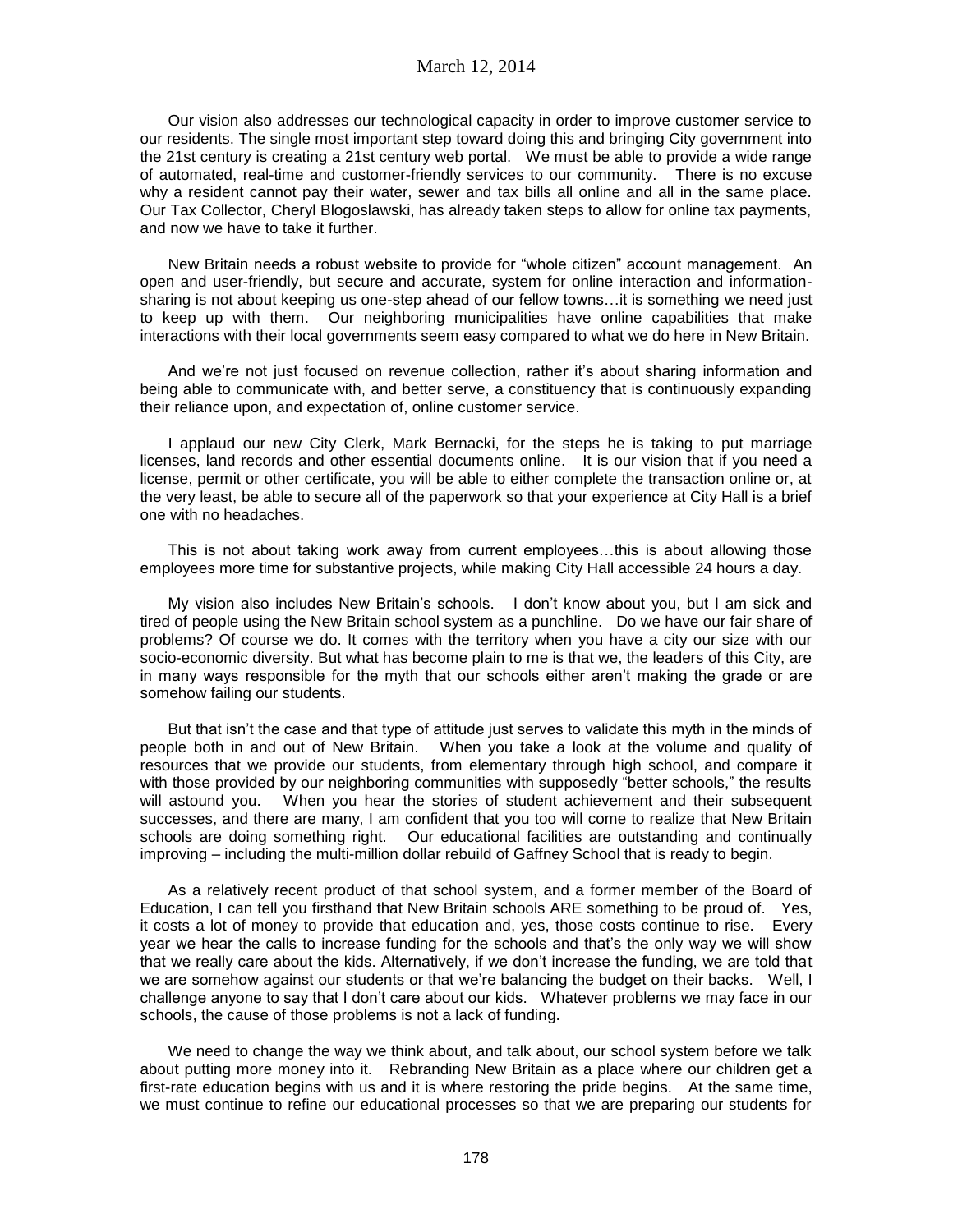### March 12, 2014

Our vision also addresses our technological capacity in order to improve customer service to our residents. The single most important step toward doing this and bringing City government into the 21st century is creating a 21st century web portal. We must be able to provide a wide range of automated, real-time and customer-friendly services to our community. There is no excuse why a resident cannot pay their water, sewer and tax bills all online and all in the same place. Our Tax Collector, Cheryl Blogoslawski, has already taken steps to allow for online tax payments, and now we have to take it further.

New Britain needs a robust website to provide for "whole citizen" account management. An open and user-friendly, but secure and accurate, system for online interaction and informationsharing is not about keeping us one-step ahead of our fellow towns…it is something we need just to keep up with them. Our neighboring municipalities have online capabilities that make interactions with their local governments seem easy compared to what we do here in New Britain.

And we're not just focused on revenue collection, rather it's about sharing information and being able to communicate with, and better serve, a constituency that is continuously expanding their reliance upon, and expectation of, online customer service.

I applaud our new City Clerk, Mark Bernacki, for the steps he is taking to put marriage licenses, land records and other essential documents online. It is our vision that if you need a license, permit or other certificate, you will be able to either complete the transaction online or, at the very least, be able to secure all of the paperwork so that your experience at City Hall is a brief one with no headaches.

This is not about taking work away from current employees…this is about allowing those employees more time for substantive projects, while making City Hall accessible 24 hours a day.

My vision also includes New Britain's schools. I don't know about you, but I am sick and tired of people using the New Britain school system as a punchline. Do we have our fair share of problems? Of course we do. It comes with the territory when you have a city our size with our socio-economic diversity. But what has become plain to me is that we, the leaders of this City, are in many ways responsible for the myth that our schools either aren't making the grade or are somehow failing our students.

But that isn't the case and that type of attitude just serves to validate this myth in the minds of people both in and out of New Britain. When you take a look at the volume and quality of resources that we provide our students, from elementary through high school, and compare it with those provided by our neighboring communities with supposedly "better schools," the results will astound you. When you hear the stories of student achievement and their subsequent successes, and there are many, I am confident that you too will come to realize that New Britain schools are doing something right. Our educational facilities are outstanding and continually improving – including the multi-million dollar rebuild of Gaffney School that is ready to begin.

As a relatively recent product of that school system, and a former member of the Board of Education, I can tell you firsthand that New Britain schools ARE something to be proud of. Yes, it costs a lot of money to provide that education and, yes, those costs continue to rise. Every year we hear the calls to increase funding for the schools and that's the only way we will show that we really care about the kids. Alternatively, if we don't increase the funding, we are told that we are somehow against our students or that we're balancing the budget on their backs. Well, I challenge anyone to say that I don't care about our kids. Whatever problems we may face in our schools, the cause of those problems is not a lack of funding.

We need to change the way we think about, and talk about, our school system before we talk about putting more money into it. Rebranding New Britain as a place where our children get a first-rate education begins with us and it is where restoring the pride begins. At the same time, we must continue to refine our educational processes so that we are preparing our students for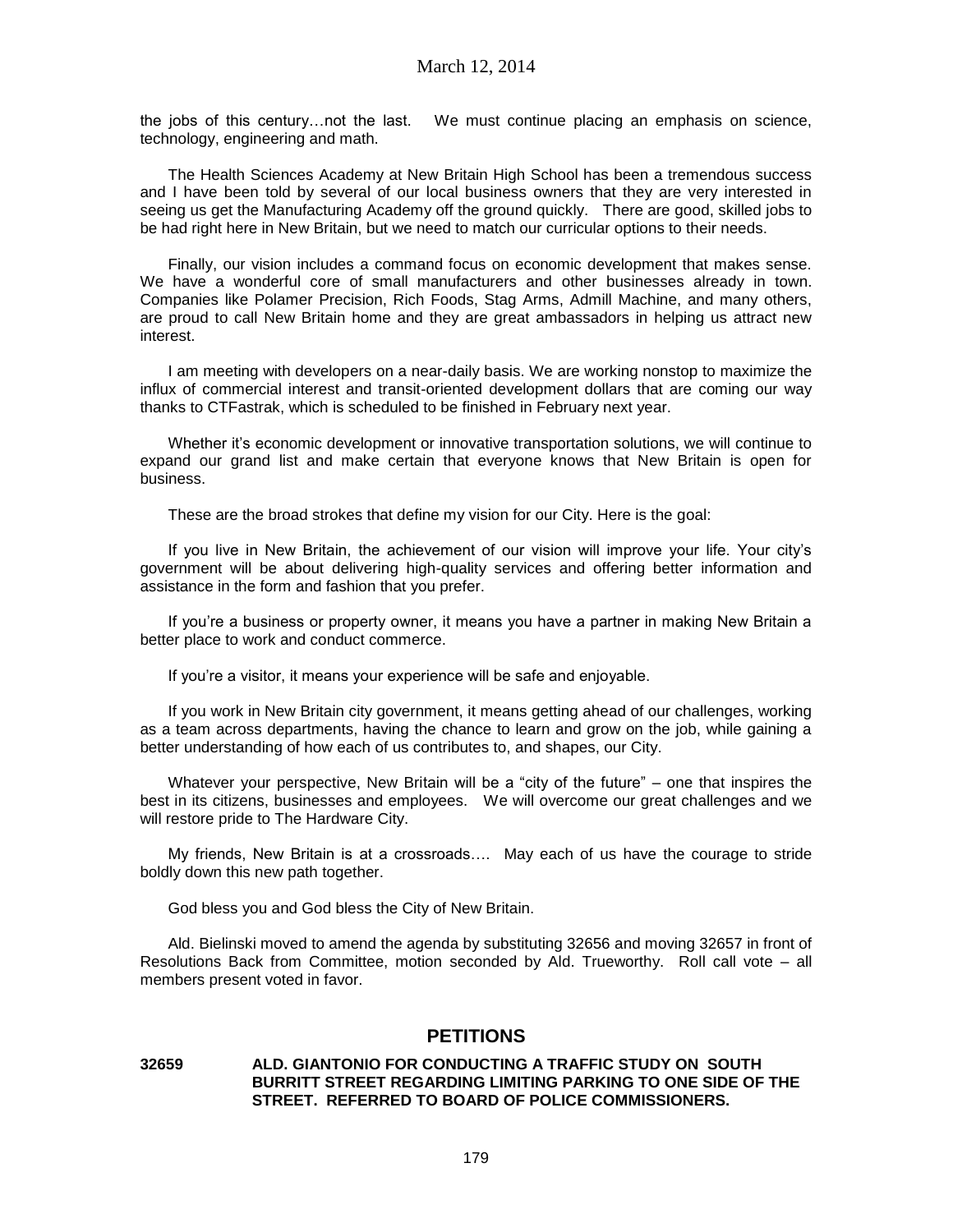the jobs of this century…not the last. We must continue placing an emphasis on science, technology, engineering and math.

The Health Sciences Academy at New Britain High School has been a tremendous success and I have been told by several of our local business owners that they are very interested in seeing us get the Manufacturing Academy off the ground quickly. There are good, skilled jobs to be had right here in New Britain, but we need to match our curricular options to their needs.

Finally, our vision includes a command focus on economic development that makes sense. We have a wonderful core of small manufacturers and other businesses already in town. Companies like Polamer Precision, Rich Foods, Stag Arms, Admill Machine, and many others, are proud to call New Britain home and they are great ambassadors in helping us attract new interest.

I am meeting with developers on a near-daily basis. We are working nonstop to maximize the influx of commercial interest and transit-oriented development dollars that are coming our way thanks to CTFastrak, which is scheduled to be finished in February next year.

Whether it's economic development or innovative transportation solutions, we will continue to expand our grand list and make certain that everyone knows that New Britain is open for business.

These are the broad strokes that define my vision for our City. Here is the goal:

If you live in New Britain, the achievement of our vision will improve your life. Your city's government will be about delivering high-quality services and offering better information and assistance in the form and fashion that you prefer.

If you're a business or property owner, it means you have a partner in making New Britain a better place to work and conduct commerce.

If you're a visitor, it means your experience will be safe and enjoyable.

If you work in New Britain city government, it means getting ahead of our challenges, working as a team across departments, having the chance to learn and grow on the job, while gaining a better understanding of how each of us contributes to, and shapes, our City.

Whatever your perspective, New Britain will be a "city of the future" – one that inspires the best in its citizens, businesses and employees. We will overcome our great challenges and we will restore pride to The Hardware City.

My friends, New Britain is at a crossroads…. May each of us have the courage to stride boldly down this new path together.

God bless you and God bless the City of New Britain.

Ald. Bielinski moved to amend the agenda by substituting 32656 and moving 32657 in front of Resolutions Back from Committee, motion seconded by Ald. Trueworthy. Roll call vote – all members present voted in favor.

# **PETITIONS**

### **32659 ALD. GIANTONIO FOR CONDUCTING A TRAFFIC STUDY ON SOUTH BURRITT STREET REGARDING LIMITING PARKING TO ONE SIDE OF THE STREET. REFERRED TO BOARD OF POLICE COMMISSIONERS.**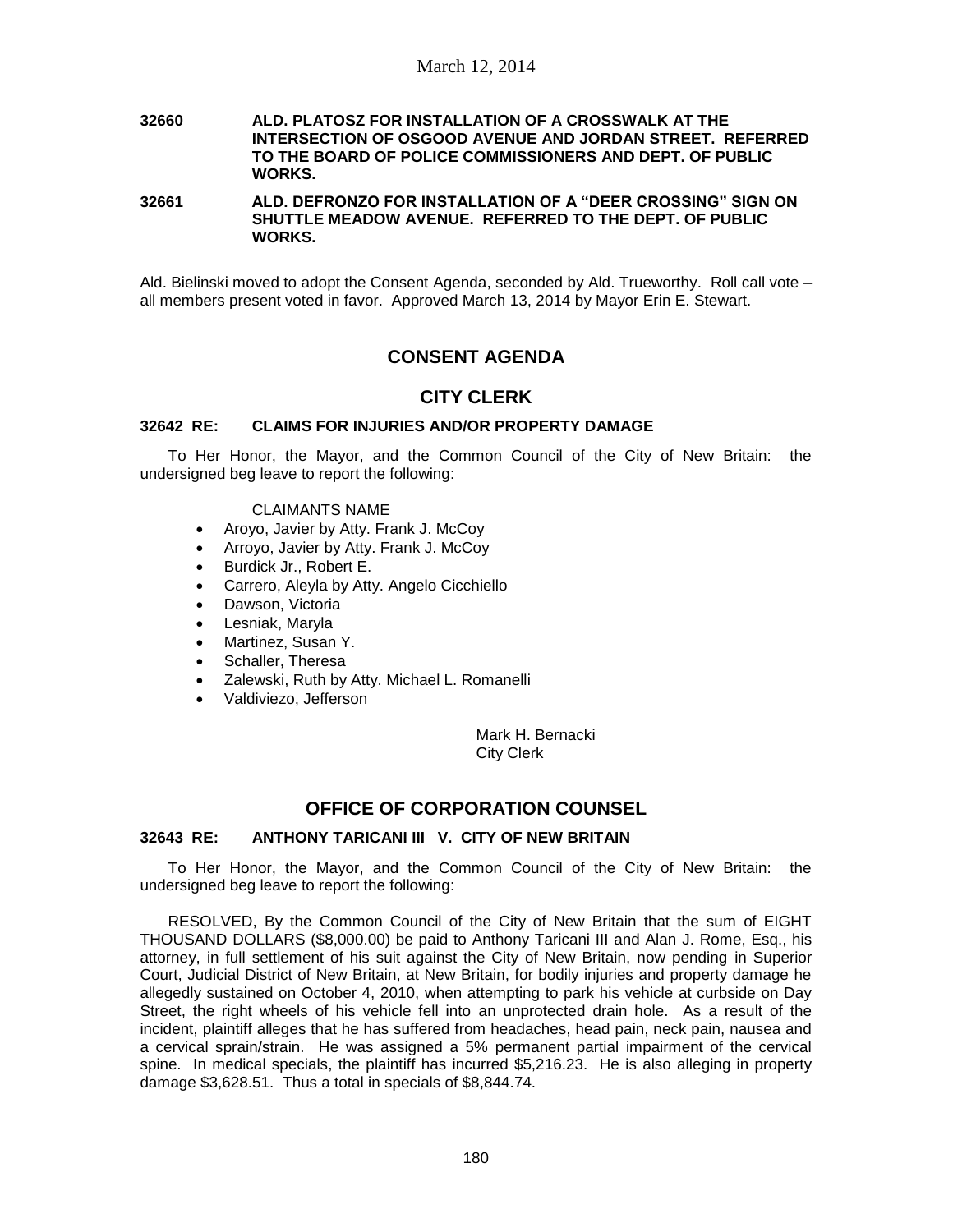#### **32660 ALD. PLATOSZ FOR INSTALLATION OF A CROSSWALK AT THE INTERSECTION OF OSGOOD AVENUE AND JORDAN STREET. REFERRED TO THE BOARD OF POLICE COMMISSIONERS AND DEPT. OF PUBLIC WORKS.**

**32661 ALD. DEFRONZO FOR INSTALLATION OF A "DEER CROSSING" SIGN ON SHUTTLE MEADOW AVENUE. REFERRED TO THE DEPT. OF PUBLIC WORKS.**

Ald. Bielinski moved to adopt the Consent Agenda, seconded by Ald. Trueworthy. Roll call vote – all members present voted in favor. Approved March 13, 2014 by Mayor Erin E. Stewart.

# **CONSENT AGENDA**

## **CITY CLERK**

### **32642 RE: CLAIMS FOR INJURIES AND/OR PROPERTY DAMAGE**

To Her Honor, the Mayor, and the Common Council of the City of New Britain: the undersigned beg leave to report the following:

#### CLAIMANTS NAME

- Aroyo, Javier by Atty. Frank J. McCoy
- Arroyo, Javier by Atty. Frank J. McCoy
- Burdick Jr., Robert E.
- Carrero, Aleyla by Atty. Angelo Cicchiello
- Dawson, Victoria
- Lesniak, Maryla
- Martinez, Susan Y.
- Schaller, Theresa
- Zalewski, Ruth by Atty. Michael L. Romanelli
- Valdiviezo, Jefferson

Mark H. Bernacki City Clerk

# **OFFICE OF CORPORATION COUNSEL**

### **32643 RE: ANTHONY TARICANI III V. CITY OF NEW BRITAIN**

To Her Honor, the Mayor, and the Common Council of the City of New Britain: the undersigned beg leave to report the following:

RESOLVED, By the Common Council of the City of New Britain that the sum of EIGHT THOUSAND DOLLARS (\$8,000.00) be paid to Anthony Taricani III and Alan J. Rome, Esq., his attorney, in full settlement of his suit against the City of New Britain, now pending in Superior Court, Judicial District of New Britain, at New Britain, for bodily injuries and property damage he allegedly sustained on October 4, 2010, when attempting to park his vehicle at curbside on Day Street, the right wheels of his vehicle fell into an unprotected drain hole. As a result of the incident, plaintiff alleges that he has suffered from headaches, head pain, neck pain, nausea and a cervical sprain/strain. He was assigned a 5% permanent partial impairment of the cervical spine. In medical specials, the plaintiff has incurred \$5,216.23. He is also alleging in property damage \$3,628.51. Thus a total in specials of \$8,844.74.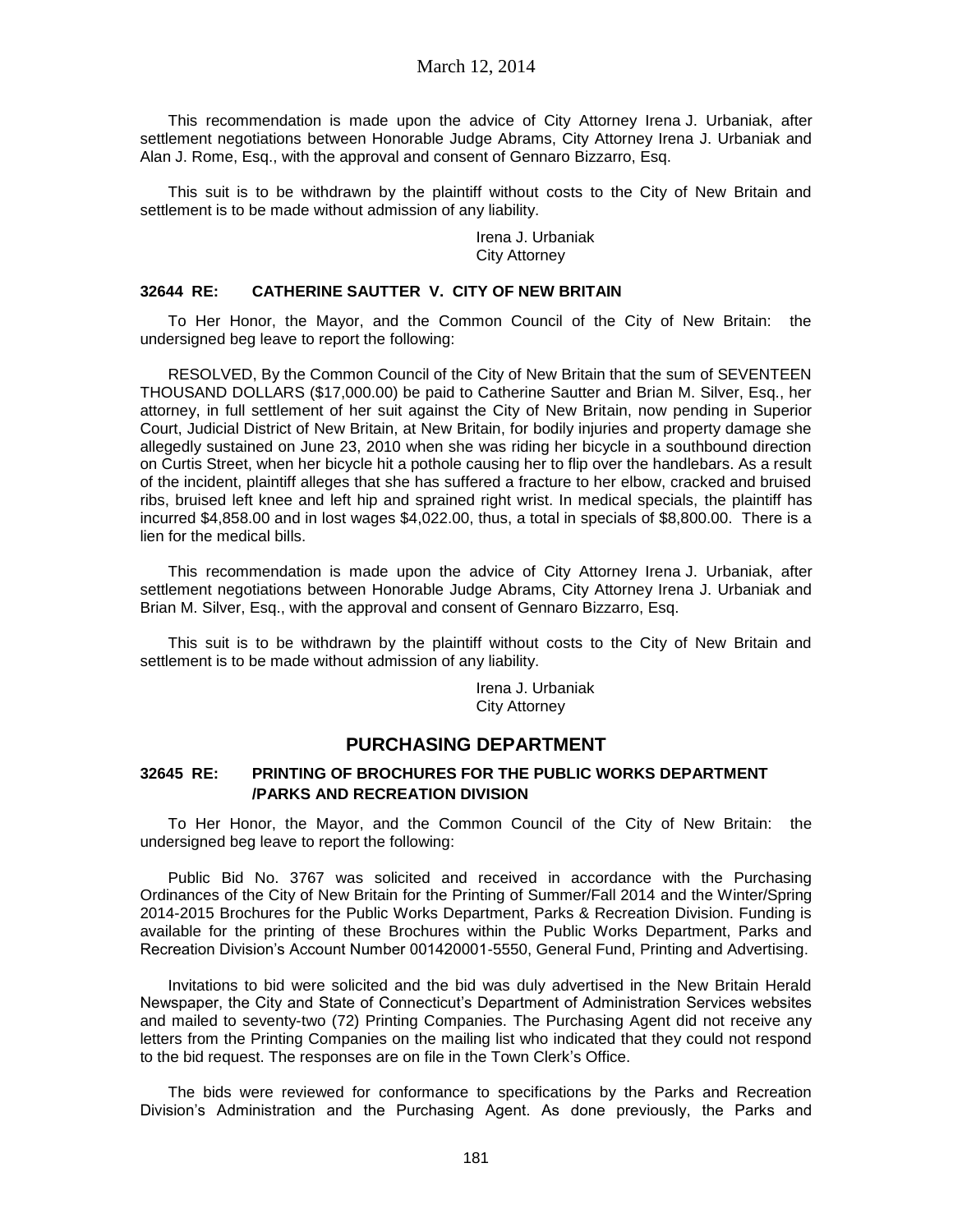This recommendation is made upon the advice of City Attorney Irena J. Urbaniak, after settlement negotiations between Honorable Judge Abrams, City Attorney Irena J. Urbaniak and Alan J. Rome, Esq., with the approval and consent of Gennaro Bizzarro, Esq.

This suit is to be withdrawn by the plaintiff without costs to the City of New Britain and settlement is to be made without admission of any liability.

> Irena J. Urbaniak City Attorney

#### **32644 RE: CATHERINE SAUTTER V. CITY OF NEW BRITAIN**

To Her Honor, the Mayor, and the Common Council of the City of New Britain: the undersigned beg leave to report the following:

RESOLVED, By the Common Council of the City of New Britain that the sum of SEVENTEEN THOUSAND DOLLARS (\$17,000.00) be paid to Catherine Sautter and Brian M. Silver, Esq., her attorney, in full settlement of her suit against the City of New Britain, now pending in Superior Court, Judicial District of New Britain, at New Britain, for bodily injuries and property damage she allegedly sustained on June 23, 2010 when she was riding her bicycle in a southbound direction on Curtis Street, when her bicycle hit a pothole causing her to flip over the handlebars. As a result of the incident, plaintiff alleges that she has suffered a fracture to her elbow, cracked and bruised ribs, bruised left knee and left hip and sprained right wrist. In medical specials, the plaintiff has incurred \$4,858.00 and in lost wages \$4,022.00, thus, a total in specials of \$8,800.00. There is a lien for the medical bills.

This recommendation is made upon the advice of City Attorney Irena J. Urbaniak, after settlement negotiations between Honorable Judge Abrams, City Attorney Irena J. Urbaniak and Brian M. Silver, Esq., with the approval and consent of Gennaro Bizzarro, Esq.

This suit is to be withdrawn by the plaintiff without costs to the City of New Britain and settlement is to be made without admission of any liability.

> Irena J. Urbaniak City Attorney

## **PURCHASING DEPARTMENT**

### **32645 RE: PRINTING OF BROCHURES FOR THE PUBLIC WORKS DEPARTMENT /PARKS AND RECREATION DIVISION**

To Her Honor, the Mayor, and the Common Council of the City of New Britain: the undersigned beg leave to report the following:

Public Bid No. 3767 was solicited and received in accordance with the Purchasing Ordinances of the City of New Britain for the Printing of Summer/Fall 2014 and the Winter/Spring 2014-2015 Brochures for the Public Works Department, Parks & Recreation Division. Funding is available for the printing of these Brochures within the Public Works Department, Parks and Recreation Division's Account Number 001420001-5550, General Fund, Printing and Advertising.

Invitations to bid were solicited and the bid was duly advertised in the New Britain Herald Newspaper, the City and State of Connecticut's Department of Administration Services websites and mailed to seventy-two (72) Printing Companies. The Purchasing Agent did not receive any letters from the Printing Companies on the mailing list who indicated that they could not respond to the bid request. The responses are on file in the Town Clerk's Office.

The bids were reviewed for conformance to specifications by the Parks and Recreation Division's Administration and the Purchasing Agent. As done previously, the Parks and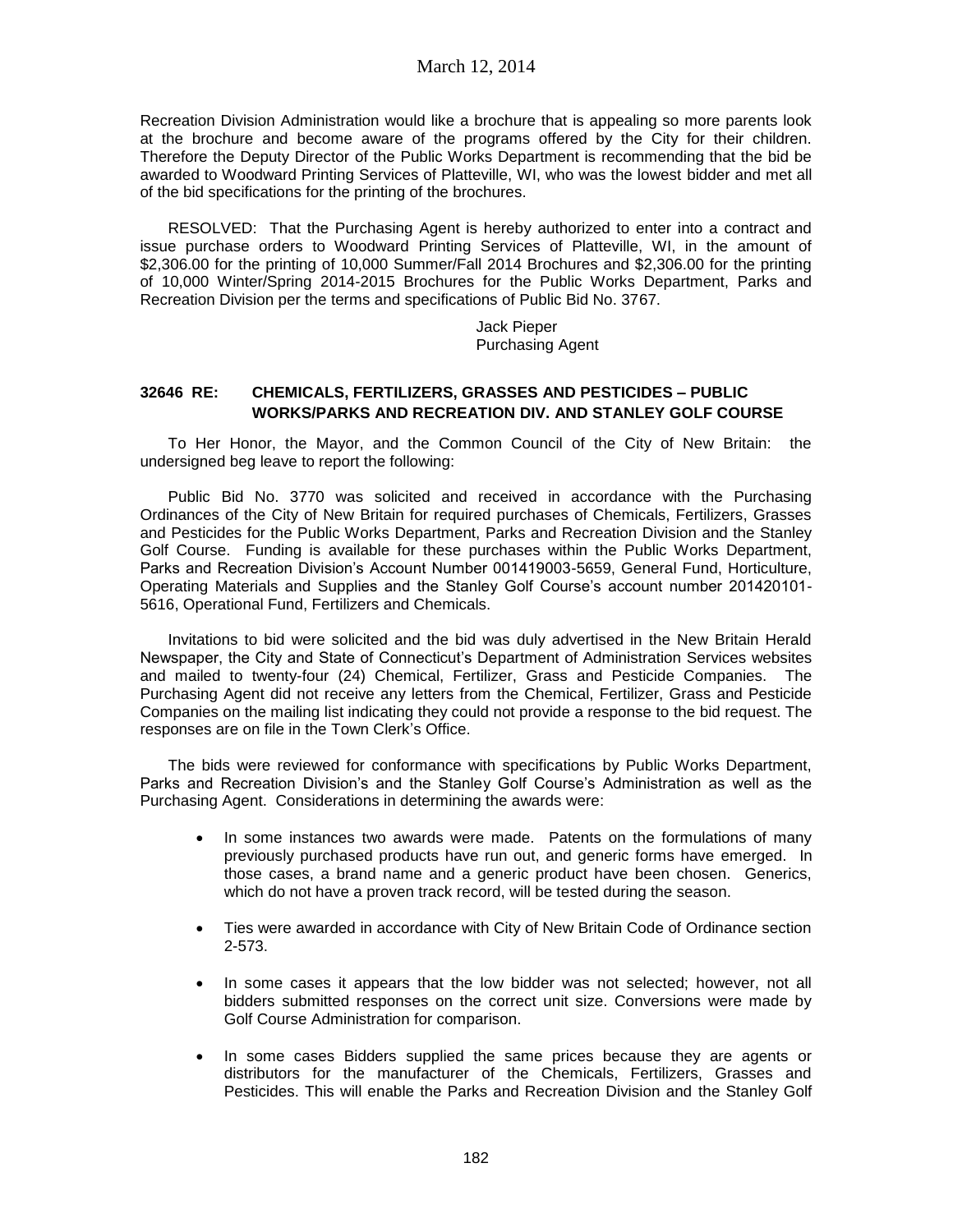Recreation Division Administration would like a brochure that is appealing so more parents look at the brochure and become aware of the programs offered by the City for their children. Therefore the Deputy Director of the Public Works Department is recommending that the bid be awarded to Woodward Printing Services of Platteville, WI, who was the lowest bidder and met all of the bid specifications for the printing of the brochures.

RESOLVED: That the Purchasing Agent is hereby authorized to enter into a contract and issue purchase orders to Woodward Printing Services of Platteville, WI, in the amount of \$2,306.00 for the printing of 10,000 Summer/Fall 2014 Brochures and \$2,306.00 for the printing of 10,000 Winter/Spring 2014-2015 Brochures for the Public Works Department, Parks and Recreation Division per the terms and specifications of Public Bid No. 3767.

> Jack Pieper Purchasing Agent

### **32646 RE: CHEMICALS, FERTILIZERS, GRASSES AND PESTICIDES – PUBLIC WORKS/PARKS AND RECREATION DIV. AND STANLEY GOLF COURSE**

To Her Honor, the Mayor, and the Common Council of the City of New Britain: the undersigned beg leave to report the following:

Public Bid No. 3770 was solicited and received in accordance with the Purchasing Ordinances of the City of New Britain for required purchases of Chemicals, Fertilizers, Grasses and Pesticides for the Public Works Department, Parks and Recreation Division and the Stanley Golf Course. Funding is available for these purchases within the Public Works Department, Parks and Recreation Division's Account Number 001419003-5659, General Fund, Horticulture, Operating Materials and Supplies and the Stanley Golf Course's account number 201420101- 5616, Operational Fund, Fertilizers and Chemicals.

Invitations to bid were solicited and the bid was duly advertised in the New Britain Herald Newspaper, the City and State of Connecticut's Department of Administration Services websites and mailed to twenty-four (24) Chemical, Fertilizer, Grass and Pesticide Companies. The Purchasing Agent did not receive any letters from the Chemical, Fertilizer, Grass and Pesticide Companies on the mailing list indicating they could not provide a response to the bid request. The responses are on file in the Town Clerk's Office.

The bids were reviewed for conformance with specifications by Public Works Department, Parks and Recreation Division's and the Stanley Golf Course's Administration as well as the Purchasing Agent. Considerations in determining the awards were:

- In some instances two awards were made. Patents on the formulations of many previously purchased products have run out, and generic forms have emerged. In those cases, a brand name and a generic product have been chosen. Generics, which do not have a proven track record, will be tested during the season.
- Ties were awarded in accordance with City of New Britain Code of Ordinance section 2-573.
- In some cases it appears that the low bidder was not selected; however, not all bidders submitted responses on the correct unit size. Conversions were made by Golf Course Administration for comparison.
- In some cases Bidders supplied the same prices because they are agents or distributors for the manufacturer of the Chemicals, Fertilizers, Grasses and Pesticides. This will enable the Parks and Recreation Division and the Stanley Golf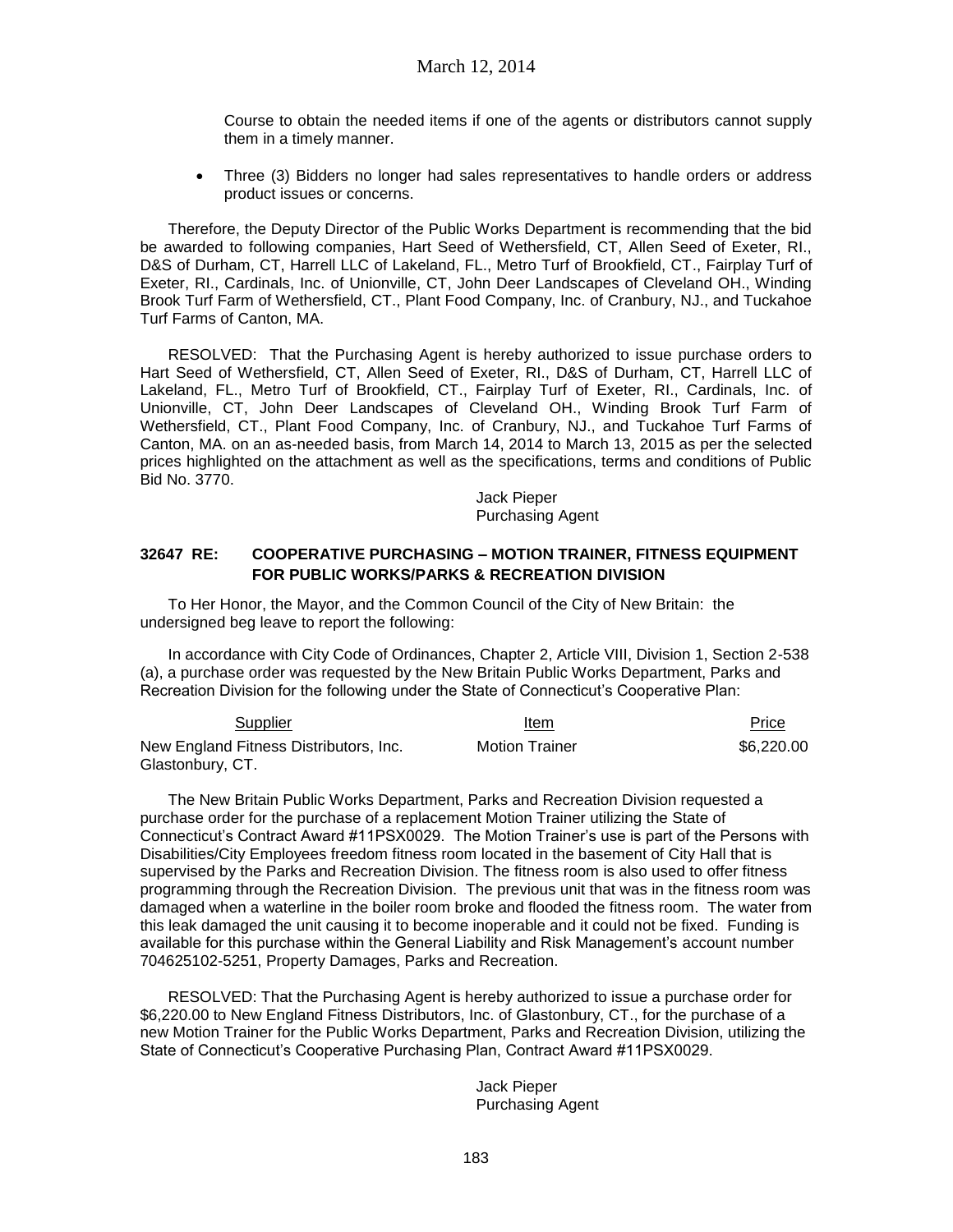Course to obtain the needed items if one of the agents or distributors cannot supply them in a timely manner.

 Three (3) Bidders no longer had sales representatives to handle orders or address product issues or concerns.

Therefore, the Deputy Director of the Public Works Department is recommending that the bid be awarded to following companies, Hart Seed of Wethersfield, CT, Allen Seed of Exeter, RI., D&S of Durham, CT, Harrell LLC of Lakeland, FL., Metro Turf of Brookfield, CT., Fairplay Turf of Exeter, RI., Cardinals, Inc. of Unionville, CT, John Deer Landscapes of Cleveland OH., Winding Brook Turf Farm of Wethersfield, CT., Plant Food Company, Inc. of Cranbury, NJ., and Tuckahoe Turf Farms of Canton, MA.

RESOLVED: That the Purchasing Agent is hereby authorized to issue purchase orders to Hart Seed of Wethersfield, CT, Allen Seed of Exeter, RI., D&S of Durham, CT, Harrell LLC of Lakeland, FL., Metro Turf of Brookfield, CT., Fairplay Turf of Exeter, RI., Cardinals, Inc. of Unionville, CT, John Deer Landscapes of Cleveland OH., Winding Brook Turf Farm of Wethersfield, CT., Plant Food Company, Inc. of Cranbury, NJ., and Tuckahoe Turf Farms of Canton, MA. on an as-needed basis, from March 14, 2014 to March 13, 2015 as per the selected prices highlighted on the attachment as well as the specifications, terms and conditions of Public Bid No. 3770.

> Jack Pieper Purchasing Agent

### **32647 RE: COOPERATIVE PURCHASING – MOTION TRAINER, FITNESS EQUIPMENT FOR PUBLIC WORKS/PARKS & RECREATION DIVISION**

To Her Honor, the Mayor, and the Common Council of the City of New Britain: the undersigned beg leave to report the following:

In accordance with City Code of Ordinances, Chapter 2, Article VIII, Division 1, Section 2-538 (a), a purchase order was requested by the New Britain Public Works Department, Parks and Recreation Division for the following under the State of Connecticut's Cooperative Plan:

| Supplier                               | Item                  | Price<br>_____ |
|----------------------------------------|-----------------------|----------------|
| New England Fitness Distributors, Inc. | <b>Motion Trainer</b> | \$6,220,00     |
| Glastonbury, CT.                       |                       |                |

The New Britain Public Works Department, Parks and Recreation Division requested a purchase order for the purchase of a replacement Motion Trainer utilizing the State of Connecticut's Contract Award #11PSX0029. The Motion Trainer's use is part of the Persons with Disabilities/City Employees freedom fitness room located in the basement of City Hall that is supervised by the Parks and Recreation Division. The fitness room is also used to offer fitness programming through the Recreation Division. The previous unit that was in the fitness room was damaged when a waterline in the boiler room broke and flooded the fitness room. The water from this leak damaged the unit causing it to become inoperable and it could not be fixed. Funding is available for this purchase within the General Liability and Risk Management's account number 704625102-5251, Property Damages, Parks and Recreation.

RESOLVED: That the Purchasing Agent is hereby authorized to issue a purchase order for \$6,220.00 to New England Fitness Distributors, Inc. of Glastonbury, CT., for the purchase of a new Motion Trainer for the Public Works Department, Parks and Recreation Division, utilizing the State of Connecticut's Cooperative Purchasing Plan, Contract Award #11PSX0029.

> Jack Pieper Purchasing Agent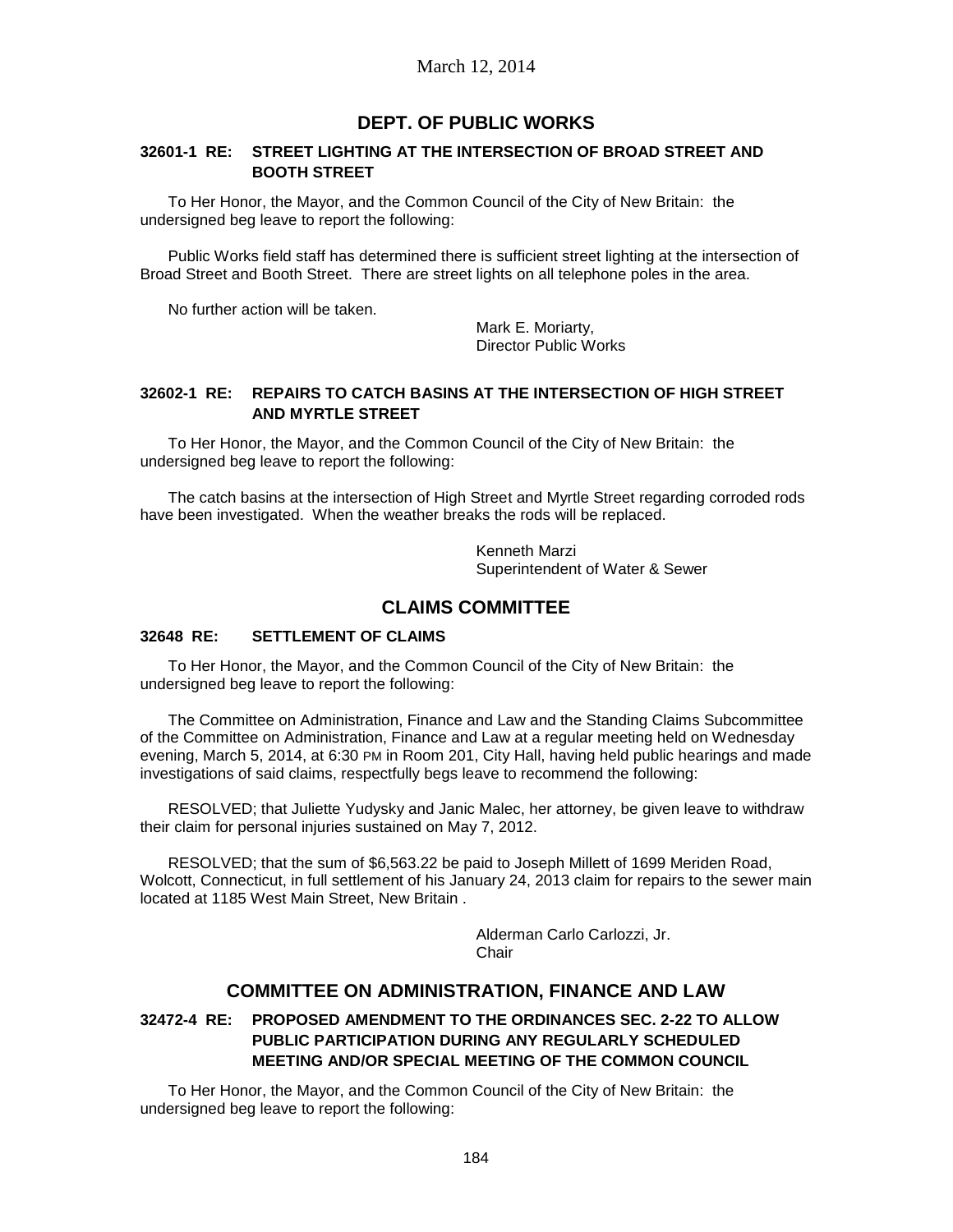# **DEPT. OF PUBLIC WORKS**

### **32601-1 RE: STREET LIGHTING AT THE INTERSECTION OF BROAD STREET AND BOOTH STREET**

To Her Honor, the Mayor, and the Common Council of the City of New Britain: the undersigned beg leave to report the following:

Public Works field staff has determined there is sufficient street lighting at the intersection of Broad Street and Booth Street. There are street lights on all telephone poles in the area.

No further action will be taken.

Mark E. Moriarty, Director Public Works

### **32602-1 RE: REPAIRS TO CATCH BASINS AT THE INTERSECTION OF HIGH STREET AND MYRTLE STREET**

To Her Honor, the Mayor, and the Common Council of the City of New Britain: the undersigned beg leave to report the following:

The catch basins at the intersection of High Street and Myrtle Street regarding corroded rods have been investigated. When the weather breaks the rods will be replaced.

> Kenneth Marzi Superintendent of Water & Sewer

# **CLAIMS COMMITTEE**

### **32648 RE: SETTLEMENT OF CLAIMS**

To Her Honor, the Mayor, and the Common Council of the City of New Britain: the undersigned beg leave to report the following:

The Committee on Administration, Finance and Law and the Standing Claims Subcommittee of the Committee on Administration, Finance and Law at a regular meeting held on Wednesday evening, March 5, 2014, at 6:30 PM in Room 201, City Hall, having held public hearings and made investigations of said claims, respectfully begs leave to recommend the following:

RESOLVED; that Juliette Yudysky and Janic Malec, her attorney, be given leave to withdraw their claim for personal injuries sustained on May 7, 2012.

RESOLVED; that the sum of \$6,563.22 be paid to Joseph Millett of 1699 Meriden Road, Wolcott, Connecticut, in full settlement of his January 24, 2013 claim for repairs to the sewer main located at 1185 West Main Street, New Britain .

> Alderman Carlo Carlozzi, Jr. **Chair**

# **COMMITTEE ON ADMINISTRATION, FINANCE AND LAW**

## **32472-4 RE: PROPOSED AMENDMENT TO THE ORDINANCES SEC. 2-22 TO ALLOW PUBLIC PARTICIPATION DURING ANY REGULARLY SCHEDULED MEETING AND/OR SPECIAL MEETING OF THE COMMON COUNCIL**

To Her Honor, the Mayor, and the Common Council of the City of New Britain: the undersigned beg leave to report the following: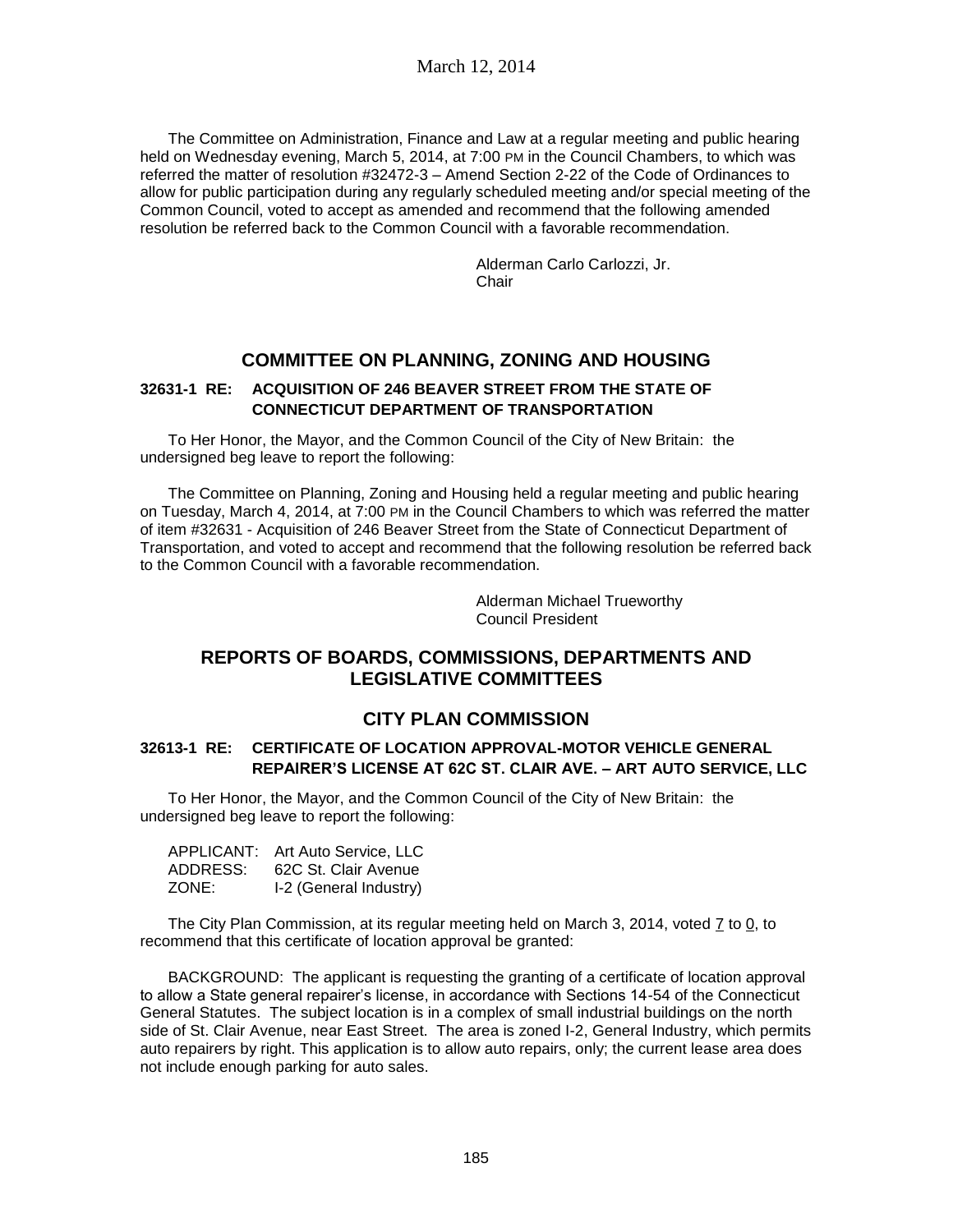The Committee on Administration, Finance and Law at a regular meeting and public hearing held on Wednesday evening, March 5, 2014, at 7:00 PM in the Council Chambers, to which was referred the matter of resolution #32472-3 – Amend Section 2-22 of the Code of Ordinances to allow for public participation during any regularly scheduled meeting and/or special meeting of the Common Council, voted to accept as amended and recommend that the following amended resolution be referred back to the Common Council with a favorable recommendation.

> Alderman Carlo Carlozzi, Jr. **Chair**

# **COMMITTEE ON PLANNING, ZONING AND HOUSING**

## **32631-1 RE: ACQUISITION OF 246 BEAVER STREET FROM THE STATE OF CONNECTICUT DEPARTMENT OF TRANSPORTATION**

To Her Honor, the Mayor, and the Common Council of the City of New Britain: the undersigned beg leave to report the following:

The Committee on Planning, Zoning and Housing held a regular meeting and public hearing on Tuesday, March 4, 2014, at 7:00 PM in the Council Chambers to which was referred the matter of item #32631 - Acquisition of 246 Beaver Street from the State of Connecticut Department of Transportation, and voted to accept and recommend that the following resolution be referred back to the Common Council with a favorable recommendation.

> Alderman Michael Trueworthy Council President

# **REPORTS OF BOARDS, COMMISSIONS, DEPARTMENTS AND LEGISLATIVE COMMITTEES**

# **CITY PLAN COMMISSION**

### **32613-1 RE: CERTIFICATE OF LOCATION APPROVAL-MOTOR VEHICLE GENERAL REPAIRER'S LICENSE AT 62C ST. CLAIR AVE. – ART AUTO SERVICE, LLC**

To Her Honor, the Mayor, and the Common Council of the City of New Britain: the undersigned beg leave to report the following:

| APPLICANT: | Art Auto Service, LLC  |
|------------|------------------------|
| ADDRESS:   | 62C St. Clair Avenue   |
| ZONE:      | I-2 (General Industry) |

The City Plan Commission, at its regular meeting held on March 3, 2014, voted 7 to 0, to recommend that this certificate of location approval be granted:

BACKGROUND: The applicant is requesting the granting of a certificate of location approval to allow a State general repairer's license, in accordance with Sections 14-54 of the Connecticut General Statutes. The subject location is in a complex of small industrial buildings on the north side of St. Clair Avenue, near East Street. The area is zoned I-2, General Industry, which permits auto repairers by right. This application is to allow auto repairs, only; the current lease area does not include enough parking for auto sales.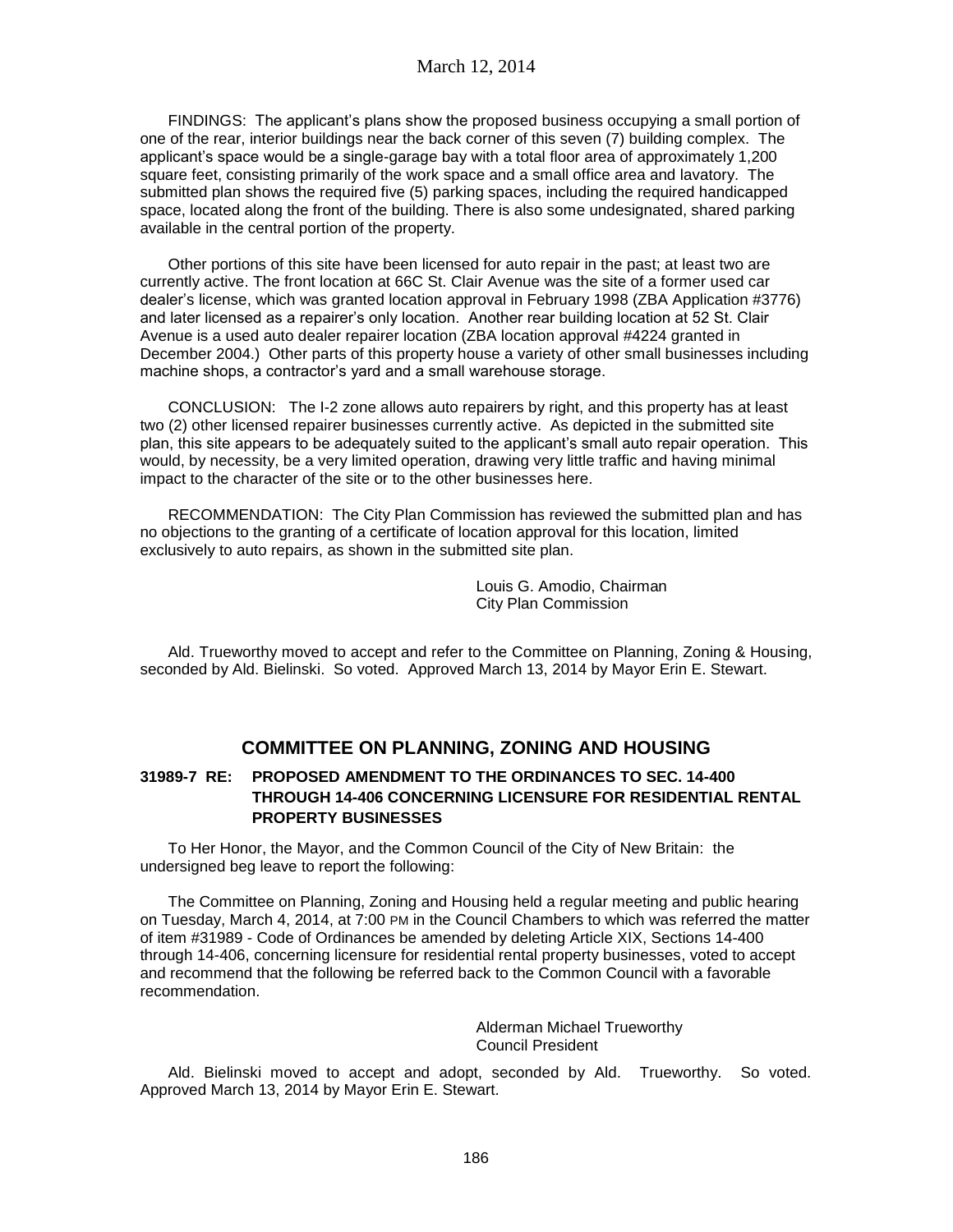FINDINGS: The applicant's plans show the proposed business occupying a small portion of one of the rear, interior buildings near the back corner of this seven (7) building complex. The applicant's space would be a single-garage bay with a total floor area of approximately 1,200 square feet, consisting primarily of the work space and a small office area and lavatory. The submitted plan shows the required five (5) parking spaces, including the required handicapped space, located along the front of the building. There is also some undesignated, shared parking available in the central portion of the property.

Other portions of this site have been licensed for auto repair in the past; at least two are currently active. The front location at 66C St. Clair Avenue was the site of a former used car dealer's license, which was granted location approval in February 1998 (ZBA Application #3776) and later licensed as a repairer's only location. Another rear building location at 52 St. Clair Avenue is a used auto dealer repairer location (ZBA location approval #4224 granted in December 2004.) Other parts of this property house a variety of other small businesses including machine shops, a contractor's yard and a small warehouse storage.

CONCLUSION: The I-2 zone allows auto repairers by right, and this property has at least two (2) other licensed repairer businesses currently active. As depicted in the submitted site plan, this site appears to be adequately suited to the applicant's small auto repair operation. This would, by necessity, be a very limited operation, drawing very little traffic and having minimal impact to the character of the site or to the other businesses here.

RECOMMENDATION: The City Plan Commission has reviewed the submitted plan and has no objections to the granting of a certificate of location approval for this location, limited exclusively to auto repairs, as shown in the submitted site plan.

> Louis G. Amodio, Chairman City Plan Commission

Ald. Trueworthy moved to accept and refer to the Committee on Planning, Zoning & Housing, seconded by Ald. Bielinski. So voted. Approved March 13, 2014 by Mayor Erin E. Stewart.

# **COMMITTEE ON PLANNING, ZONING AND HOUSING**

## **31989-7 RE: PROPOSED AMENDMENT TO THE ORDINANCES TO SEC. 14-400 THROUGH 14-406 CONCERNING LICENSURE FOR RESIDENTIAL RENTAL PROPERTY BUSINESSES**

To Her Honor, the Mayor, and the Common Council of the City of New Britain: the undersigned beg leave to report the following:

The Committee on Planning, Zoning and Housing held a regular meeting and public hearing on Tuesday, March 4, 2014, at 7:00 PM in the Council Chambers to which was referred the matter of item #31989 - Code of Ordinances be amended by deleting Article XIX, Sections 14-400 through 14-406, concerning licensure for residential rental property businesses, voted to accept and recommend that the following be referred back to the Common Council with a favorable recommendation.

> Alderman Michael Trueworthy Council President

Ald. Bielinski moved to accept and adopt, seconded by Ald. Trueworthy. So voted. Approved March 13, 2014 by Mayor Erin E. Stewart.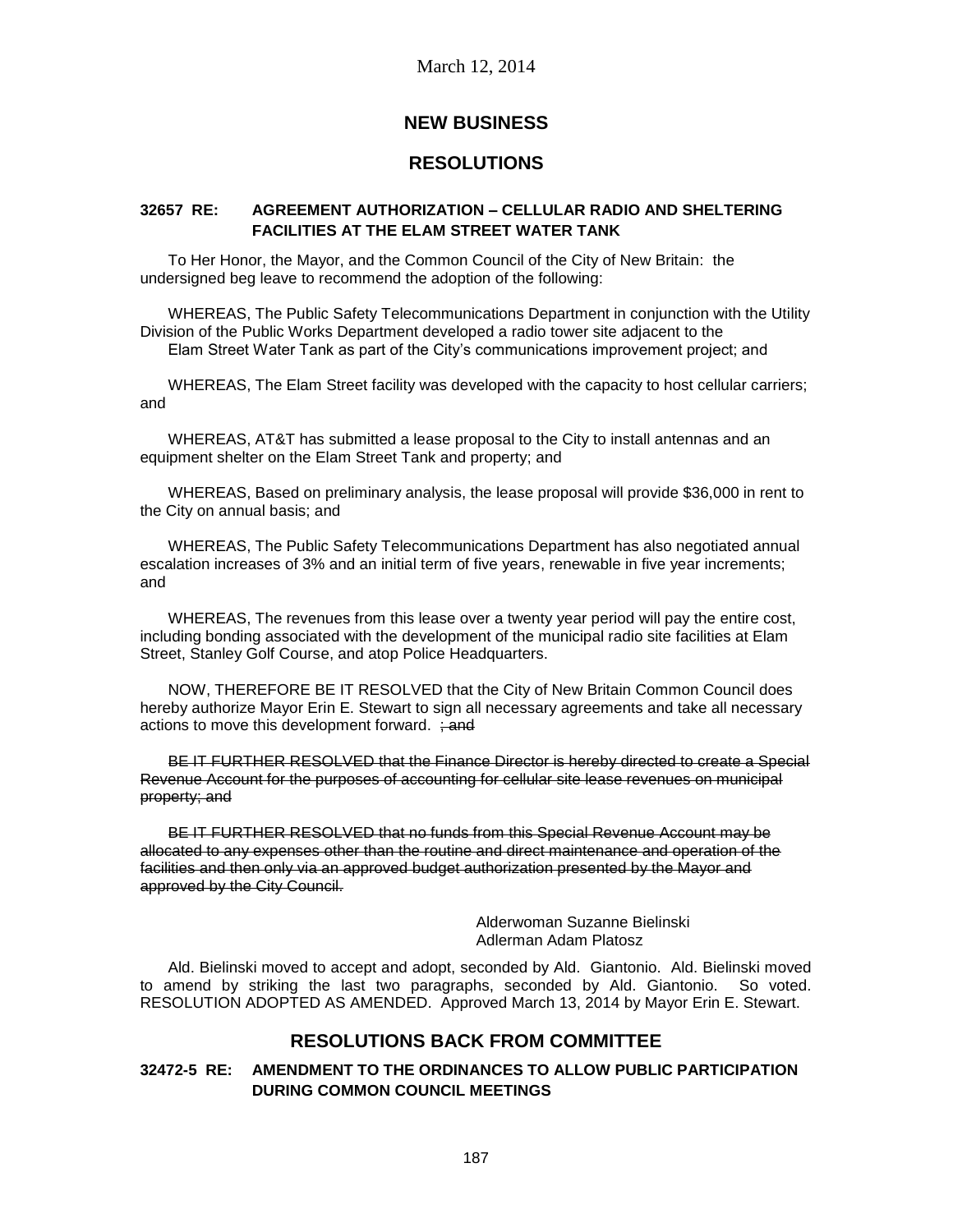March 12, 2014

# **NEW BUSINESS**

# **RESOLUTIONS**

### **32657 RE: AGREEMENT AUTHORIZATION – CELLULAR RADIO AND SHELTERING FACILITIES AT THE ELAM STREET WATER TANK**

To Her Honor, the Mayor, and the Common Council of the City of New Britain: the undersigned beg leave to recommend the adoption of the following:

WHEREAS, The Public Safety Telecommunications Department in conjunction with the Utility Division of the Public Works Department developed a radio tower site adjacent to the Elam Street Water Tank as part of the City's communications improvement project; and

WHEREAS, The Elam Street facility was developed with the capacity to host cellular carriers; and

WHEREAS, AT&T has submitted a lease proposal to the City to install antennas and an equipment shelter on the Elam Street Tank and property; and

WHEREAS, Based on preliminary analysis, the lease proposal will provide \$36,000 in rent to the City on annual basis; and

WHEREAS, The Public Safety Telecommunications Department has also negotiated annual escalation increases of 3% and an initial term of five years, renewable in five year increments; and

WHEREAS, The revenues from this lease over a twenty year period will pay the entire cost, including bonding associated with the development of the municipal radio site facilities at Elam Street, Stanley Golf Course, and atop Police Headquarters.

NOW, THEREFORE BE IT RESOLVED that the City of New Britain Common Council does hereby authorize Mayor Erin E. Stewart to sign all necessary agreements and take all necessary actions to move this development forward.  $\div$ and

BE IT FURTHER RESOLVED that the Finance Director is hereby directed to create a Special Revenue Account for the purposes of accounting for cellular site lease revenues on municipal property; and

BE IT FURTHER RESOLVED that no funds from this Special Revenue Account may be allocated to any expenses other than the routine and direct maintenance and operation of the facilities and then only via an approved budget authorization presented by the Mayor and approved by the City Council.

> Alderwoman Suzanne Bielinski Adlerman Adam Platosz

Ald. Bielinski moved to accept and adopt, seconded by Ald. Giantonio. Ald. Bielinski moved to amend by striking the last two paragraphs, seconded by Ald. Giantonio. So voted. RESOLUTION ADOPTED AS AMENDED. Approved March 13, 2014 by Mayor Erin E. Stewart.

# **RESOLUTIONS BACK FROM COMMITTEE**

# **32472-5 RE: AMENDMENT TO THE ORDINANCES TO ALLOW PUBLIC PARTICIPATION DURING COMMON COUNCIL MEETINGS**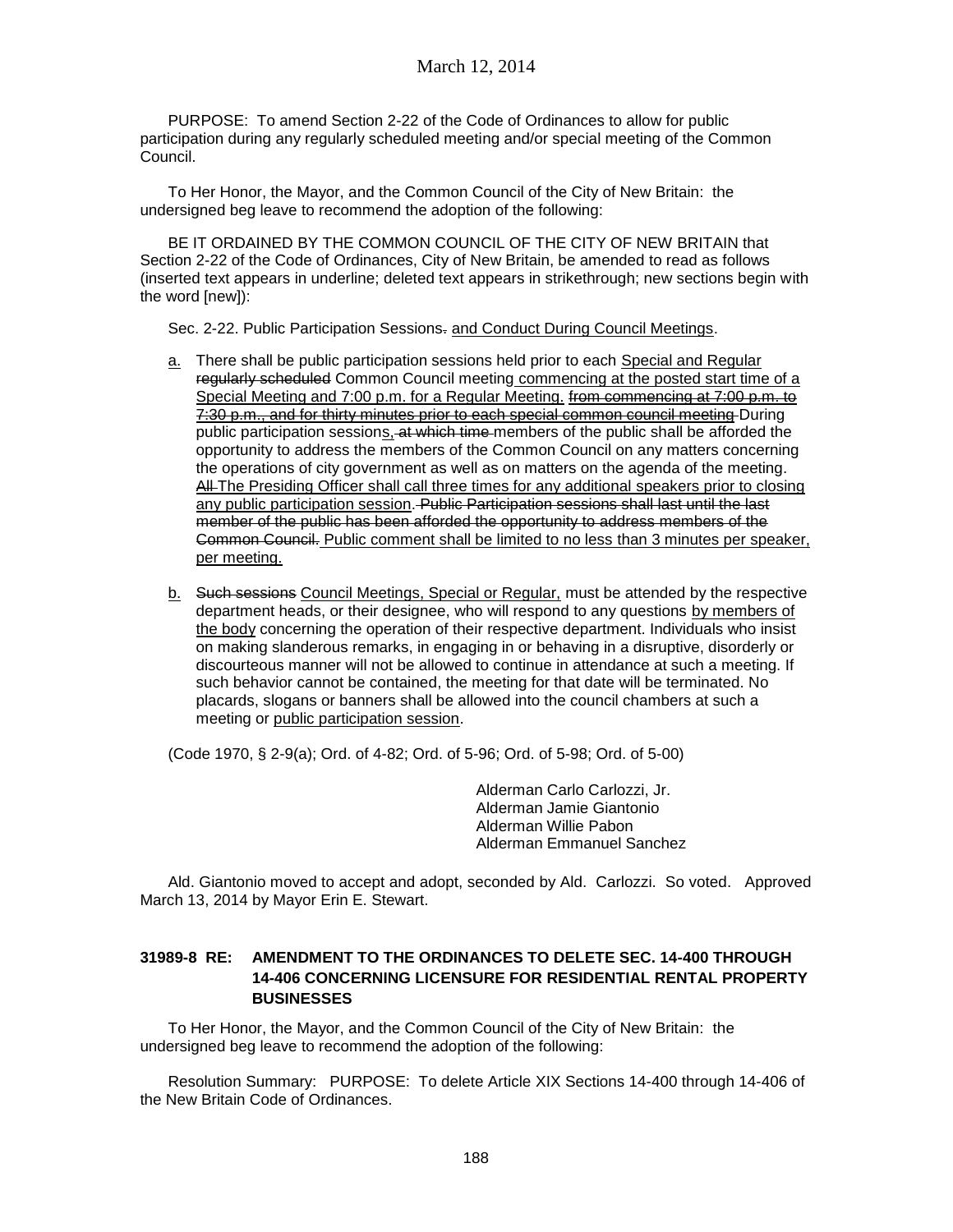## March 12, 2014

PURPOSE: To amend Section 2-22 of the Code of Ordinances to allow for public participation during any regularly scheduled meeting and/or special meeting of the Common Council.

To Her Honor, the Mayor, and the Common Council of the City of New Britain: the undersigned beg leave to recommend the adoption of the following:

BE IT ORDAINED BY THE COMMON COUNCIL OF THE CITY OF NEW BRITAIN that Section 2-22 of the Code of Ordinances, City of New Britain, be amended to read as follows (inserted text appears in underline; deleted text appears in strikethrough; new sections begin with the word [new]):

Sec. 2-22. Public Participation Sessions- and Conduct During Council Meetings.

- a. There shall be public participation sessions held prior to each Special and Regular regularly scheduled Common Council meeting commencing at the posted start time of a Special Meeting and 7:00 p.m. for a Regular Meeting. from commencing at 7:00 p.m. to 7:30 p.m., and for thirty minutes prior to each special common council meeting During public participation sessions, at which time members of the public shall be afforded the opportunity to address the members of the Common Council on any matters concerning the operations of city government as well as on matters on the agenda of the meeting. All The Presiding Officer shall call three times for any additional speakers prior to closing any public participation session. Public Participation sessions shall last until the last member of the public has been afforded the opportunity to address members of the Common Council. Public comment shall be limited to no less than 3 minutes per speaker, per meeting.
- b. Such sessions Council Meetings, Special or Regular, must be attended by the respective department heads, or their designee, who will respond to any questions by members of the body concerning the operation of their respective department. Individuals who insist on making slanderous remarks, in engaging in or behaving in a disruptive, disorderly or discourteous manner will not be allowed to continue in attendance at such a meeting. If such behavior cannot be contained, the meeting for that date will be terminated. No placards, slogans or banners shall be allowed into the council chambers at such a meeting or public participation session.

(Code 1970, § 2-9(a); Ord. of 4-82; Ord. of 5-96; Ord. of 5-98; Ord. of 5-00)

Alderman Carlo Carlozzi, Jr. Alderman Jamie Giantonio Alderman Willie Pabon Alderman Emmanuel Sanchez

Ald. Giantonio moved to accept and adopt, seconded by Ald. Carlozzi. So voted. Approved March 13, 2014 by Mayor Erin E. Stewart.

## **31989-8 RE: AMENDMENT TO THE ORDINANCES TO DELETE SEC. 14-400 THROUGH 14-406 CONCERNING LICENSURE FOR RESIDENTIAL RENTAL PROPERTY BUSINESSES**

To Her Honor, the Mayor, and the Common Council of the City of New Britain: the undersigned beg leave to recommend the adoption of the following:

Resolution Summary: PURPOSE: To delete Article XIX Sections 14-400 through 14-406 of the New Britain Code of Ordinances.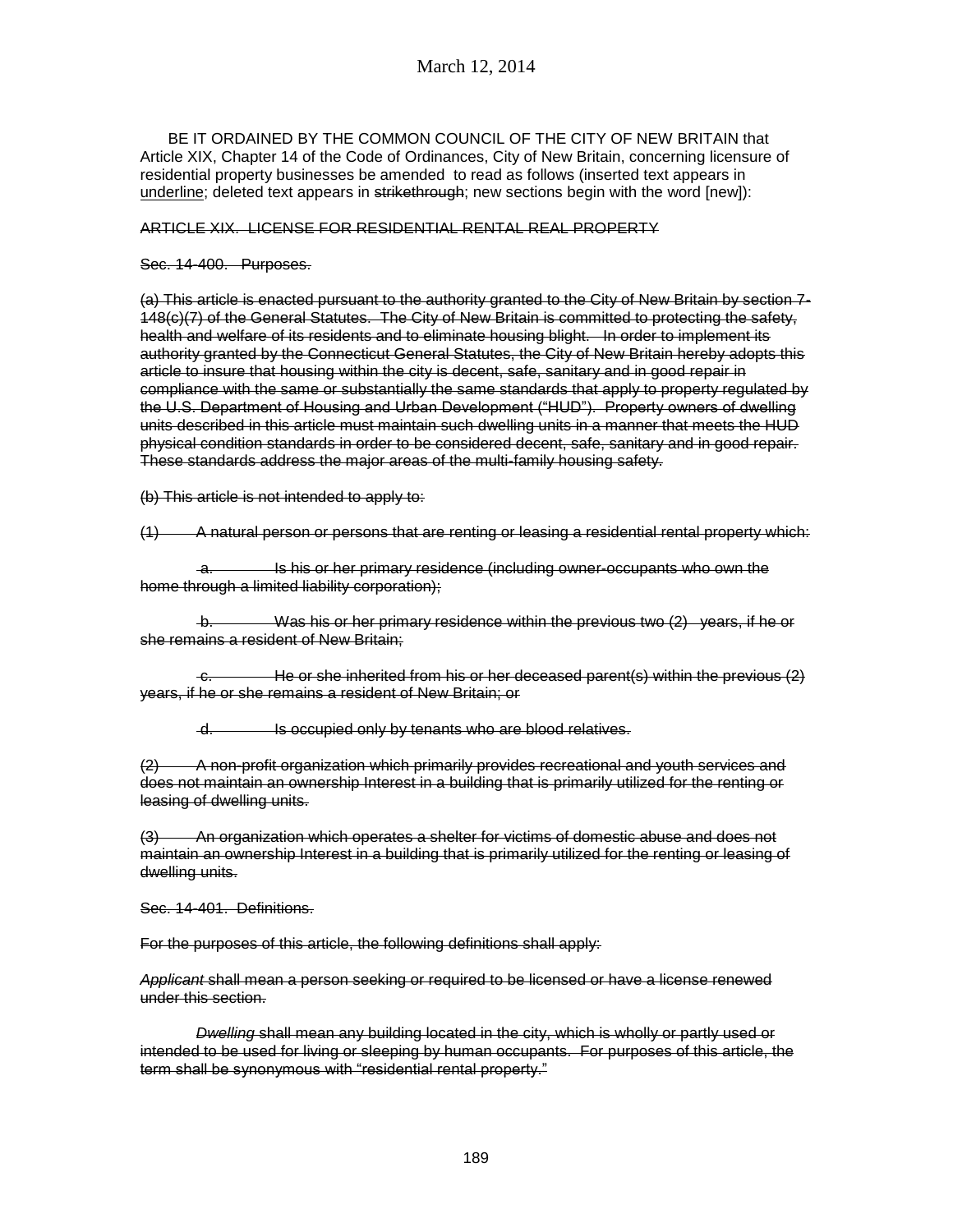BE IT ORDAINED BY THE COMMON COUNCIL OF THE CITY OF NEW BRITAIN that Article XIX, Chapter 14 of the Code of Ordinances, City of New Britain, concerning licensure of residential property businesses be amended to read as follows (inserted text appears in underline; deleted text appears in strikethrough; new sections begin with the word [new]):

#### ARTICLE XIX. LICENSE FOR RESIDENTIAL RENTAL REAL PROPERTY

#### Sec. 14-400. Purposes.

(a) This article is enacted pursuant to the authority granted to the City of New Britain by section 7- 148(c)(7) of the General Statutes. The City of New Britain is committed to protecting the safety, health and welfare of its residents and to eliminate housing blight. In order to implement its authority granted by the Connecticut General Statutes, the City of New Britain hereby adopts this article to insure that housing within the city is decent, safe, sanitary and in good repair in compliance with the same or substantially the same standards that apply to property regulated by the U.S. Department of Housing and Urban Development ("HUD"). Property owners of dwelling units described in this article must maintain such dwelling units in a manner that meets the HUD physical condition standards in order to be considered decent, safe, sanitary and in good repair. These standards address the major areas of the multi-family housing safety.

(b) This article is not intended to apply to:

(1) A natural person or persons that are renting or leasing a residential rental property which:

 a. Is his or her primary residence (including owner-occupants who own the home through a limited liability corporation);

Was his or her primary residence within the previous two  $(2)$  years, if he or she remains a resident of New Britain;

c. He or she inherited from his or her deceased parent(s) within the previous (2) years, if he or she remains a resident of New Britain; or

d. Is occupied only by tenants who are blood relatives.

(2) A non-profit organization which primarily provides recreational and youth services and does not maintain an ownership Interest in a building that is primarily utilized for the renting or leasing of dwelling units.

(3) An organization which operates a shelter for victims of domestic abuse and does not maintain an ownership Interest in a building that is primarily utilized for the renting or leasing of dwelling units.

Sec. 14-401. Definitions.

For the purposes of this article, the following definitions shall apply:

*Applicant* shall mean a person seeking or required to be licensed or have a license renewed under this section.

*Dwelling* shall mean any building located in the city, which is wholly or partly used or intended to be used for living or sleeping by human occupants. For purposes of this article, the term shall be synonymous with "residential rental property."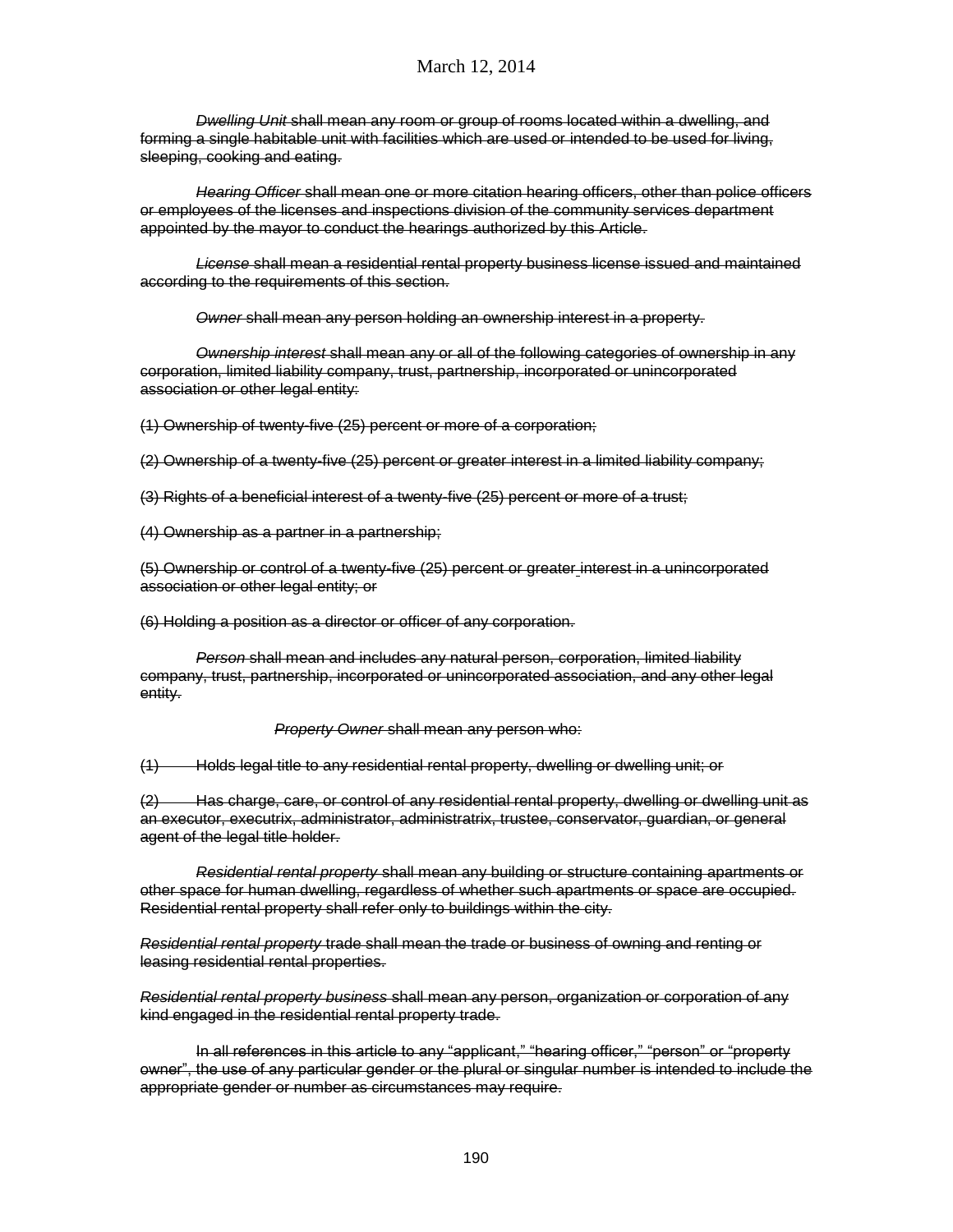*Dwelling Unit* shall mean any room or group of rooms located within a dwelling, and forming a single habitable unit with facilities which are used or intended to be used for living, sleeping, cooking and eating.

*Hearing Officer* shall mean one or more citation hearing officers, other than police officers or employees of the licenses and inspections division of the community services department appointed by the mayor to conduct the hearings authorized by this Article.

*License* shall mean a residential rental property business license issued and maintained according to the requirements of this section.

*Owner* shall mean any person holding an ownership interest in a property.

*Ownership interest* shall mean any or all of the following categories of ownership in any corporation, limited liability company, trust, partnership, incorporated or unincorporated association or other legal entity:

(1) Ownership of twenty-five (25) percent or more of a corporation;

(2) Ownership of a twenty-five (25) percent or greater interest in a limited liability company;

(3) Rights of a beneficial interest of a twenty-five (25) percent or more of a trust;

(4) Ownership as a partner in a partnership;

(5) Ownership or control of a twenty-five (25) percent or greater interest in a unincorporated association or other legal entity; or

(6) Holding a position as a director or officer of any corporation.

*Person* shall mean and includes any natural person, corporation, limited liability company, trust, partnership, incorporated or unincorporated association, and any other legal entity.

*Property Owner* shall mean any person who:

(1) Holds legal title to any residential rental property, dwelling or dwelling unit; or

(2) Has charge, care, or control of any residential rental property, dwelling or dwelling unit as an executor, executrix, administrator, administratrix, trustee, conservator, guardian, or general agent of the legal title holder.

*Residential rental property* shall mean any building or structure containing apartments or other space for human dwelling, regardless of whether such apartments or space are occupied. Residential rental property shall refer only to buildings within the city.

*Residential rental property* trade shall mean the trade or business of owning and renting or leasing residential rental properties.

*Residential rental property business* shall mean any person, organization or corporation of any kind engaged in the residential rental property trade.

In all references in this article to any "applicant," "hearing officer," "person" or "property owner", the use of any particular gender or the plural or singular number is intended to include the appropriate gender or number as circumstances may require.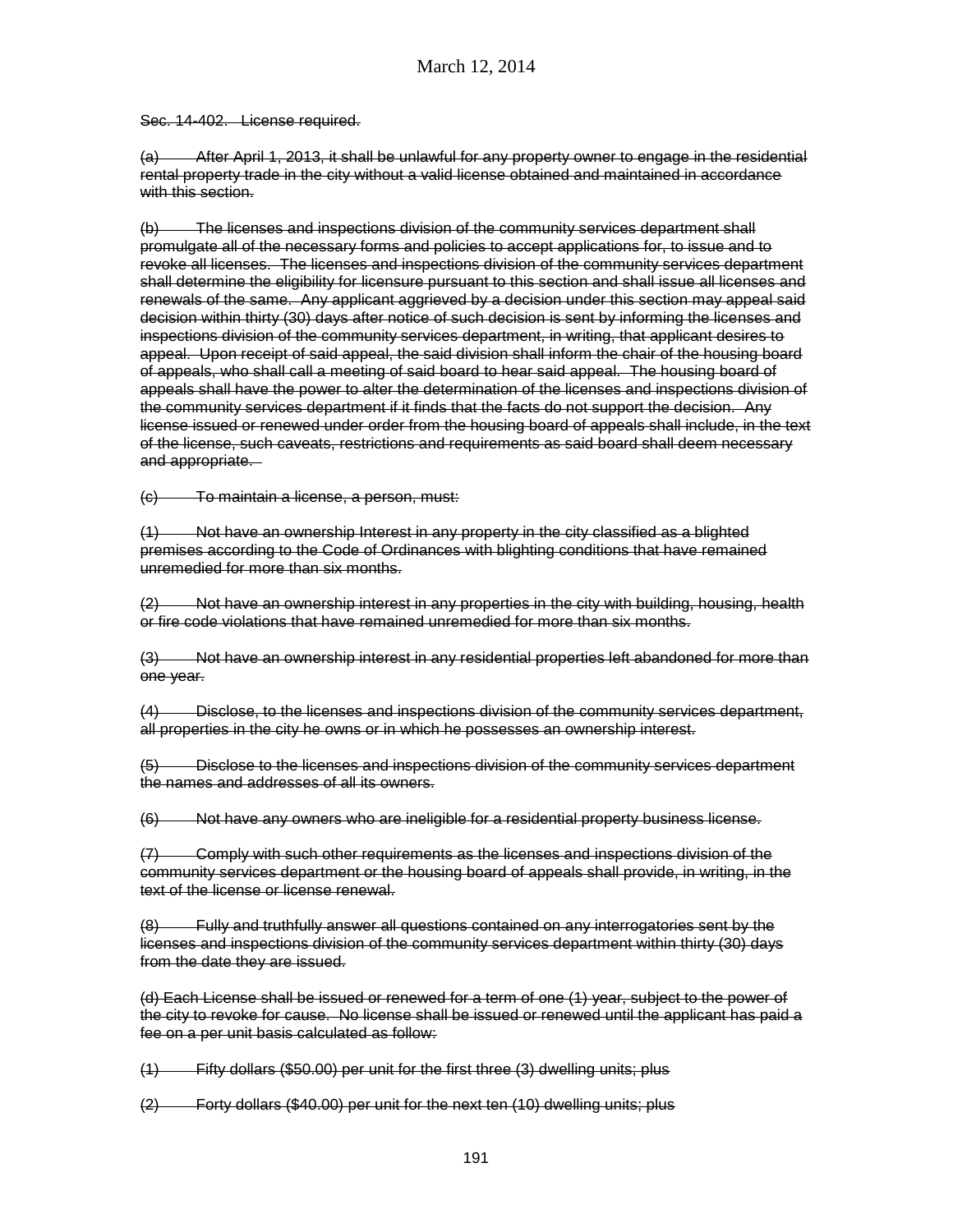Sec. 14-402. License required.

(a) After April 1, 2013, it shall be unlawful for any property owner to engage in the residential rental property trade in the city without a valid license obtained and maintained in accordance with this section.

(b) The licenses and inspections division of the community services department shall promulgate all of the necessary forms and policies to accept applications for, to issue and to revoke all licenses. The licenses and inspections division of the community services department shall determine the eligibility for licensure pursuant to this section and shall issue all licenses and renewals of the same. Any applicant aggrieved by a decision under this section may appeal said decision within thirty (30) days after notice of such decision is sent by informing the licenses and inspections division of the community services department, in writing, that applicant desires to appeal. Upon receipt of said appeal, the said division shall inform the chair of the housing board of appeals, who shall call a meeting of said board to hear said appeal. The housing board of appeals shall have the power to alter the determination of the licenses and inspections division of the community services department if it finds that the facts do not support the decision. Any license issued or renewed under order from the housing board of appeals shall include, in the text of the license, such caveats, restrictions and requirements as said board shall deem necessary and appropriate.

(c) To maintain a license, a person, must:

(1) Not have an ownership Interest in any property in the city classified as a blighted premises according to the Code of Ordinances with blighting conditions that have remained unremedied for more than six months.

(2) Not have an ownership interest in any properties in the city with building, housing, health or fire code violations that have remained unremedied for more than six months.

(3) Not have an ownership interest in any residential properties left abandoned for more than one year.

(4) Disclose, to the licenses and inspections division of the community services department, all properties in the city he owns or in which he possesses an ownership interest.

(5) Disclose to the licenses and inspections division of the community services department the names and addresses of all its owners.

(6) Not have any owners who are ineligible for a residential property business license.

(7) Comply with such other requirements as the licenses and inspections division of the community services department or the housing board of appeals shall provide, in writing, in the text of the license or license renewal.

(8) Fully and truthfully answer all questions contained on any interrogatories sent by the licenses and inspections division of the community services department within thirty (30) days from the date they are issued.

(d) Each License shall be issued or renewed for a term of one (1) year, subject to the power of the city to revoke for cause. No license shall be issued or renewed until the applicant has paid a fee on a per unit basis calculated as follow:

(1) Fifty dollars (\$50.00) per unit for the first three (3) dwelling units; plus

(2) Forty dollars (\$40.00) per unit for the next ten (10) dwelling units; plus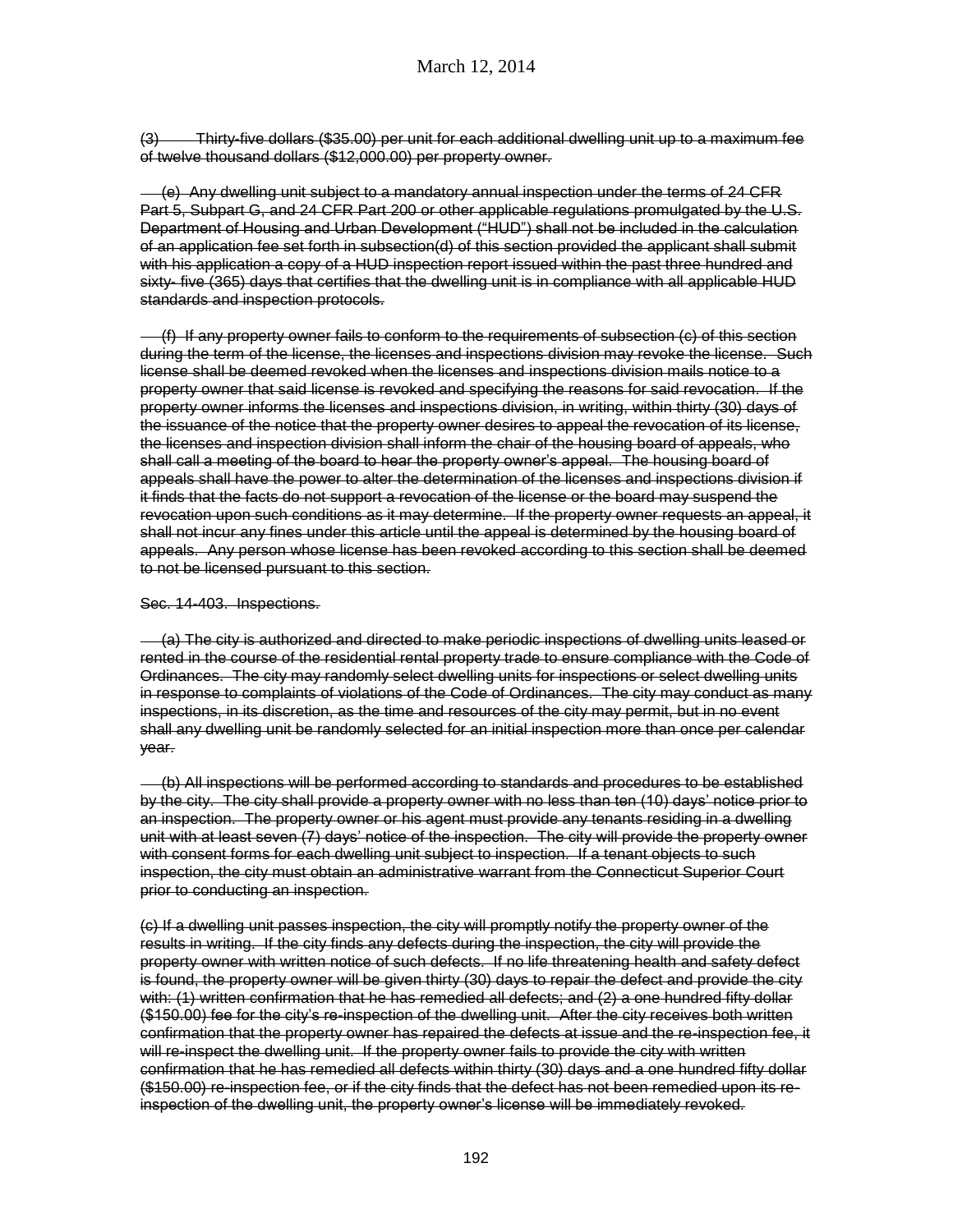(3) Thirty-five dollars (\$35.00) per unit for each additional dwelling unit up to a maximum fee of twelve thousand dollars (\$12,000.00) per property owner.

 (e) Any dwelling unit subject to a mandatory annual inspection under the terms of 24 CFR Part 5, Subpart G, and 24 CFR Part 200 or other applicable regulations promulgated by the U.S. Department of Housing and Urban Development ("HUD") shall not be included in the calculation of an application fee set forth in subsection(d) of this section provided the applicant shall submit with his application a copy of a HUD inspection report issued within the past three hundred and sixty- five (365) days that certifies that the dwelling unit is in compliance with all applicable HUD standards and inspection protocols.

 (f) If any property owner fails to conform to the requirements of subsection (c) of this section during the term of the license, the licenses and inspections division may revoke the license. Such license shall be deemed revoked when the licenses and inspections division mails notice to a property owner that said license is revoked and specifying the reasons for said revocation. If the property owner informs the licenses and inspections division, in writing, within thirty (30) days of the issuance of the notice that the property owner desires to appeal the revocation of its license, the licenses and inspection division shall inform the chair of the housing board of appeals, who shall call a meeting of the board to hear the property owner's appeal. The housing board of appeals shall have the power to alter the determination of the licenses and inspections division if it finds that the facts do not support a revocation of the license or the board may suspend the revocation upon such conditions as it may determine. If the property owner requests an appeal, it shall not incur any fines under this article until the appeal is determined by the housing board of appeals. Any person whose license has been revoked according to this section shall be deemed to not be licensed pursuant to this section.

#### Sec. 14-403. Inspections.

 (a) The city is authorized and directed to make periodic inspections of dwelling units leased or rented in the course of the residential rental property trade to ensure compliance with the Code of Ordinances. The city may randomly select dwelling units for inspections or select dwelling units in response to complaints of violations of the Code of Ordinances. The city may conduct as many inspections, in its discretion, as the time and resources of the city may permit, but in no event shall any dwelling unit be randomly selected for an initial inspection more than once per calendar year.

 (b) All inspections will be performed according to standards and procedures to be established by the city. The city shall provide a property owner with no less than ten (10) days' notice prior to an inspection. The property owner or his agent must provide any tenants residing in a dwelling unit with at least seven (7) days' notice of the inspection. The city will provide the property owner with consent forms for each dwelling unit subject to inspection. If a tenant objects to such inspection, the city must obtain an administrative warrant from the Connecticut Superior Court prior to conducting an inspection.

(c) If a dwelling unit passes inspection, the city will promptly notify the property owner of the results in writing. If the city finds any defects during the inspection, the city will provide the property owner with written notice of such defects. If no life threatening health and safety defect is found, the property owner will be given thirty (30) days to repair the defect and provide the city with: (1) written confirmation that he has remedied all defects; and (2) a one hundred fifty dollar (\$150.00) fee for the city's re-inspection of the dwelling unit. After the city receives both written confirmation that the property owner has repaired the defects at issue and the re-inspection fee, it will re-inspect the dwelling unit. If the property owner fails to provide the city with written confirmation that he has remedied all defects within thirty (30) days and a one hundred fifty dollar (\$150.00) re-inspection fee, or if the city finds that the defect has not been remedied upon its reinspection of the dwelling unit, the property owner's license will be immediately revoked.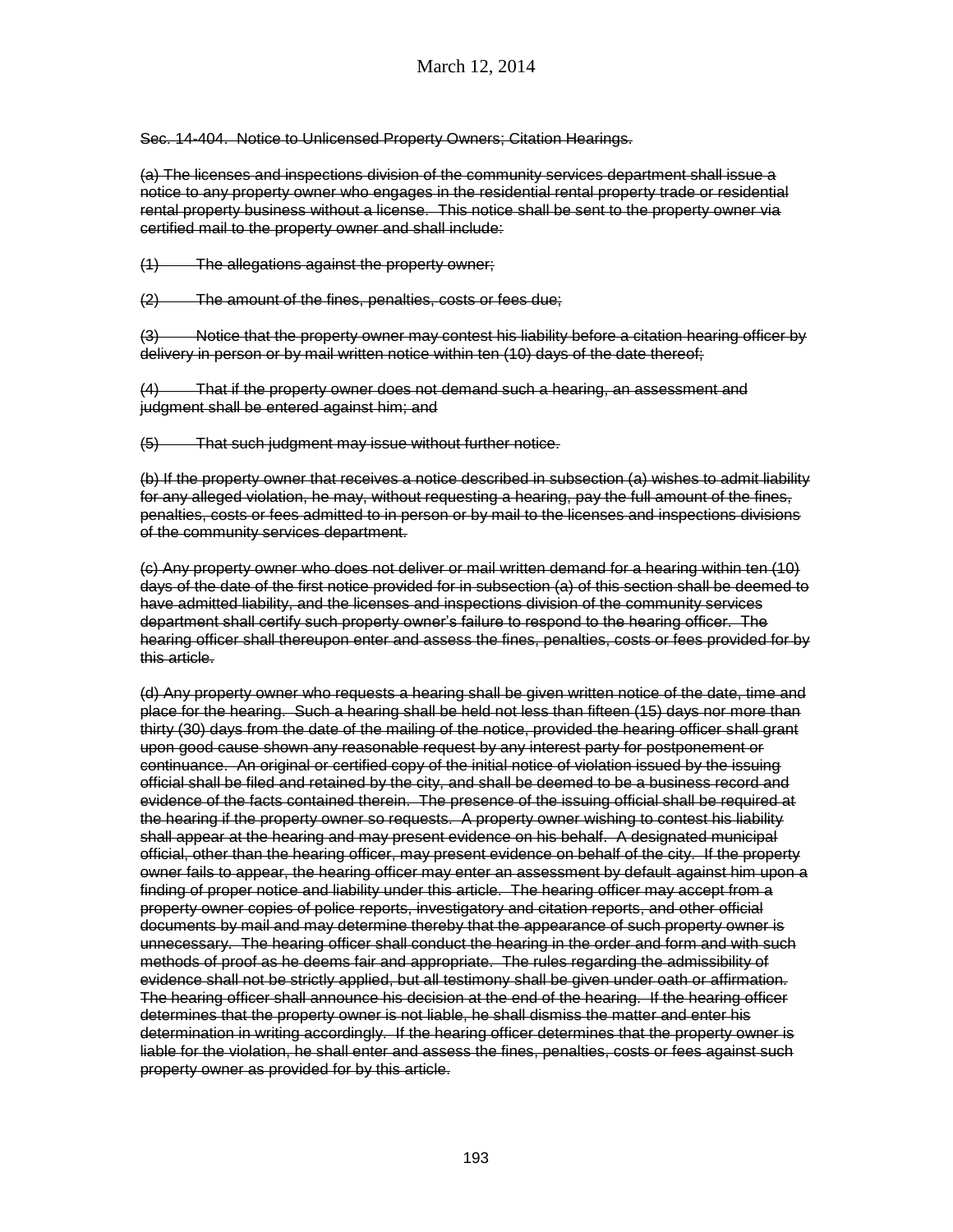Sec. 14-404. Notice to Unlicensed Property Owners; Citation Hearings.

(a) The licenses and inspections division of the community services department shall issue a notice to any property owner who engages in the residential rental property trade or residential rental property business without a license. This notice shall be sent to the property owner via certified mail to the property owner and shall include:

(1) The allegations against the property owner;

(2) The amount of the fines, penalties, costs or fees due;

(3) Notice that the property owner may contest his liability before a citation hearing officer by delivery in person or by mail written notice within ten (10) days of the date thereof;

(4) That if the property owner does not demand such a hearing, an assessment and judgment shall be entered against him; and

(5) That such judgment may issue without further notice.

(b) If the property owner that receives a notice described in subsection (a) wishes to admit liability for any alleged violation, he may, without requesting a hearing, pay the full amount of the fines, penalties, costs or fees admitted to in person or by mail to the licenses and inspections divisions of the community services department.

(c) Any property owner who does not deliver or mail written demand for a hearing within ten (10) days of the date of the first notice provided for in subsection (a) of this section shall be deemed to have admitted liability, and the licenses and inspections division of the community services department shall certify such property owner's failure to respond to the hearing officer. The hearing officer shall thereupon enter and assess the fines, penalties, costs or fees provided for by this article.

(d) Any property owner who requests a hearing shall be given written notice of the date, time and place for the hearing. Such a hearing shall be held not less than fifteen (15) days nor more than thirty (30) days from the date of the mailing of the notice, provided the hearing officer shall grant upon good cause shown any reasonable request by any interest party for postponement or continuance. An original or certified copy of the initial notice of violation issued by the issuing official shall be filed and retained by the city, and shall be deemed to be a business record and evidence of the facts contained therein. The presence of the issuing official shall be required at the hearing if the property owner so requests. A property owner wishing to contest his liability shall appear at the hearing and may present evidence on his behalf. A designated municipal official, other than the hearing officer, may present evidence on behalf of the city. If the property owner fails to appear, the hearing officer may enter an assessment by default against him upon a finding of proper notice and liability under this article. The hearing officer may accept from a property owner copies of police reports, investigatory and citation reports, and other official documents by mail and may determine thereby that the appearance of such property owner is unnecessary. The hearing officer shall conduct the hearing in the order and form and with such methods of proof as he deems fair and appropriate. The rules regarding the admissibility of evidence shall not be strictly applied, but all testimony shall be given under oath or affirmation. The hearing officer shall announce his decision at the end of the hearing. If the hearing officer determines that the property owner is not liable, he shall dismiss the matter and enter his determination in writing accordingly. If the hearing officer determines that the property owner is liable for the violation, he shall enter and assess the fines, penalties, costs or fees against such property owner as provided for by this article.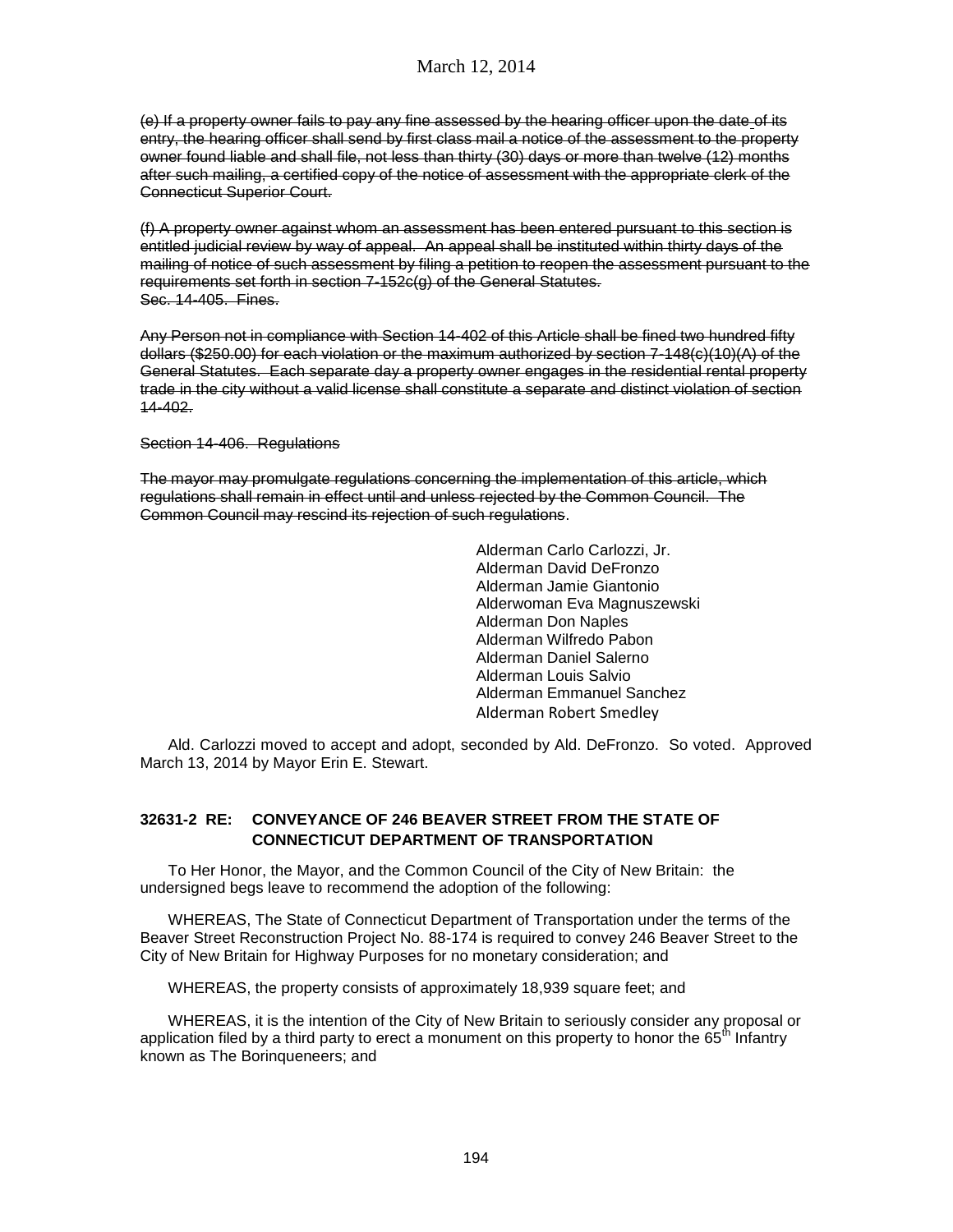(e) If a property owner fails to pay any fine assessed by the hearing officer upon the date of its entry, the hearing officer shall send by first class mail a notice of the assessment to the property owner found liable and shall file, not less than thirty (30) days or more than twelve (12) months after such mailing, a certified copy of the notice of assessment with the appropriate clerk of the Connecticut Superior Court.

(f) A property owner against whom an assessment has been entered pursuant to this section is entitled judicial review by way of appeal. An appeal shall be instituted within thirty days of the mailing of notice of such assessment by filing a petition to reopen the assessment pursuant to the requirements set forth in section 7-152c(g) of the General Statutes. Sec. 14-405. Fines.

Any Person not in compliance with Section 14-402 of this Article shall be fined two hundred fifty dollars (\$250.00) for each violation or the maximum authorized by section 7-148(c)(10)(A) of the General Statutes. Each separate day a property owner engages in the residential rental property trade in the city without a valid license shall constitute a separate and distinct violation of section 14-402.

Section 14-406. Regulations

The mayor may promulgate regulations concerning the implementation of this article, which regulations shall remain in effect until and unless rejected by the Common Council. The Common Council may rescind its rejection of such regulations.

> Alderman Carlo Carlozzi, Jr. Alderman David DeFronzo Alderman Jamie Giantonio Alderwoman Eva Magnuszewski Alderman Don Naples Alderman Wilfredo Pabon Alderman Daniel Salerno Alderman Louis Salvio Alderman Emmanuel Sanchez Alderman Robert Smedley

Ald. Carlozzi moved to accept and adopt, seconded by Ald. DeFronzo. So voted. Approved March 13, 2014 by Mayor Erin E. Stewart.

## **32631-2 RE: CONVEYANCE OF 246 BEAVER STREET FROM THE STATE OF CONNECTICUT DEPARTMENT OF TRANSPORTATION**

To Her Honor, the Mayor, and the Common Council of the City of New Britain: the undersigned begs leave to recommend the adoption of the following:

WHEREAS, The State of Connecticut Department of Transportation under the terms of the Beaver Street Reconstruction Project No. 88-174 is required to convey 246 Beaver Street to the City of New Britain for Highway Purposes for no monetary consideration; and

WHEREAS, the property consists of approximately 18,939 square feet; and

WHEREAS, it is the intention of the City of New Britain to seriously consider any proposal or application filed by a third party to erect a monument on this property to honor the  $65<sup>th</sup>$  Infantry known as The Borinqueneers; and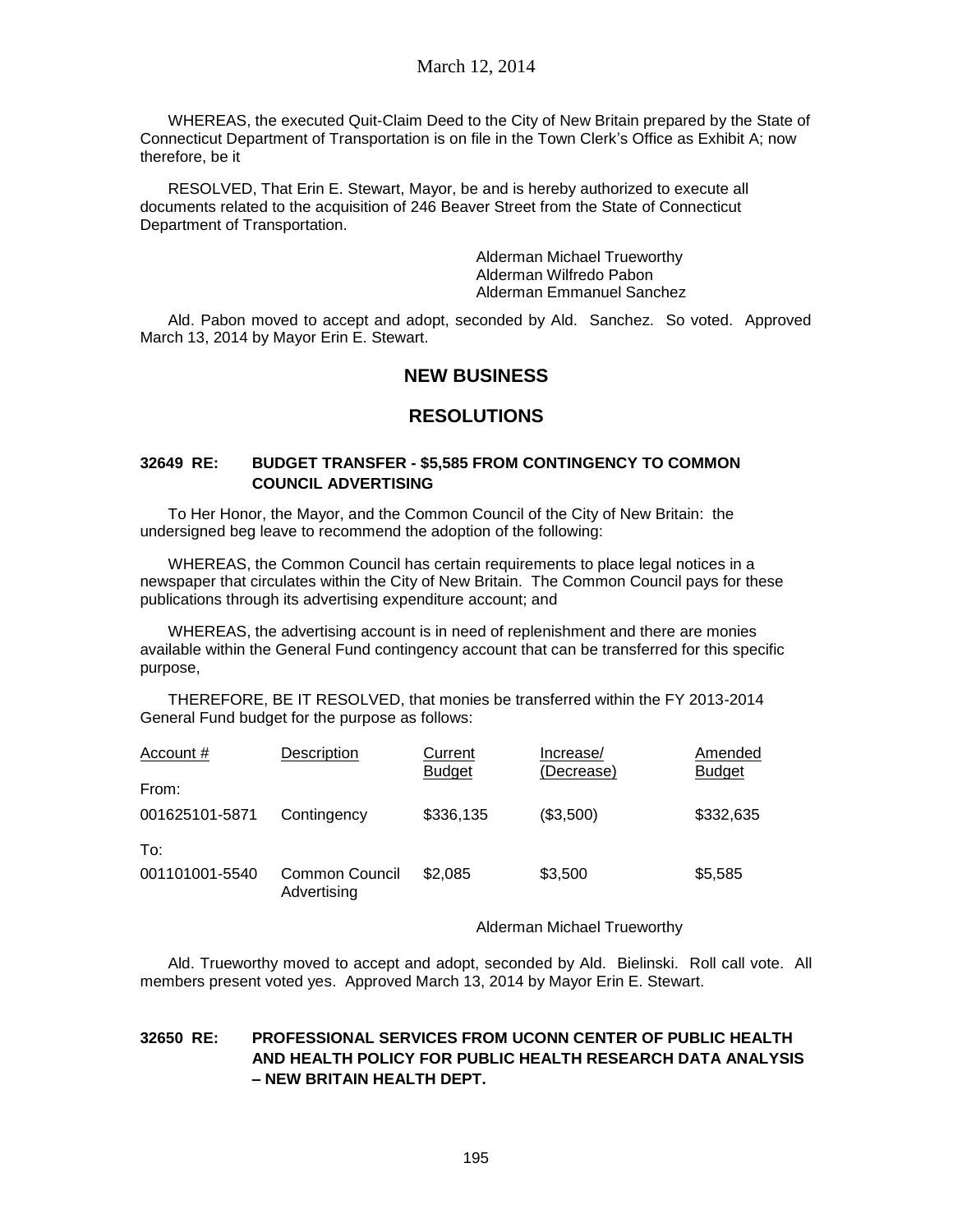WHEREAS, the executed Quit-Claim Deed to the City of New Britain prepared by the State of Connecticut Department of Transportation is on file in the Town Clerk's Office as Exhibit A; now therefore, be it

RESOLVED, That Erin E. Stewart, Mayor, be and is hereby authorized to execute all documents related to the acquisition of 246 Beaver Street from the State of Connecticut Department of Transportation.

> Alderman Michael Trueworthy Alderman Wilfredo Pabon Alderman Emmanuel Sanchez

Ald. Pabon moved to accept and adopt, seconded by Ald. Sanchez. So voted. Approved March 13, 2014 by Mayor Erin E. Stewart.

# **NEW BUSINESS**

# **RESOLUTIONS**

### **32649 RE: BUDGET TRANSFER - \$5,585 FROM CONTINGENCY TO COMMON COUNCIL ADVERTISING**

To Her Honor, the Mayor, and the Common Council of the City of New Britain: the undersigned beg leave to recommend the adoption of the following:

WHEREAS, the Common Council has certain requirements to place legal notices in a newspaper that circulates within the City of New Britain. The Common Council pays for these publications through its advertising expenditure account; and

WHEREAS, the advertising account is in need of replenishment and there are monies available within the General Fund contingency account that can be transferred for this specific purpose,

THEREFORE, BE IT RESOLVED, that monies be transferred within the FY 2013-2014 General Fund budget for the purpose as follows:

| Account #             | Description                          | Current<br><b>Budget</b> | Increase/<br>(Decrease) | Amended<br><b>Budget</b> |
|-----------------------|--------------------------------------|--------------------------|-------------------------|--------------------------|
| From:                 |                                      |                          |                         |                          |
| 001625101-5871        | Contingency                          | \$336,135                | (\$3,500)               | \$332,635                |
| To:<br>001101001-5540 | <b>Common Council</b><br>Advertising | \$2.085                  | \$3,500                 | \$5,585                  |

### Alderman Michael Trueworthy

Ald. Trueworthy moved to accept and adopt, seconded by Ald. Bielinski. Roll call vote. All members present voted yes. Approved March 13, 2014 by Mayor Erin E. Stewart.

## **32650 RE: PROFESSIONAL SERVICES FROM UCONN CENTER OF PUBLIC HEALTH AND HEALTH POLICY FOR PUBLIC HEALTH RESEARCH DATA ANALYSIS – NEW BRITAIN HEALTH DEPT.**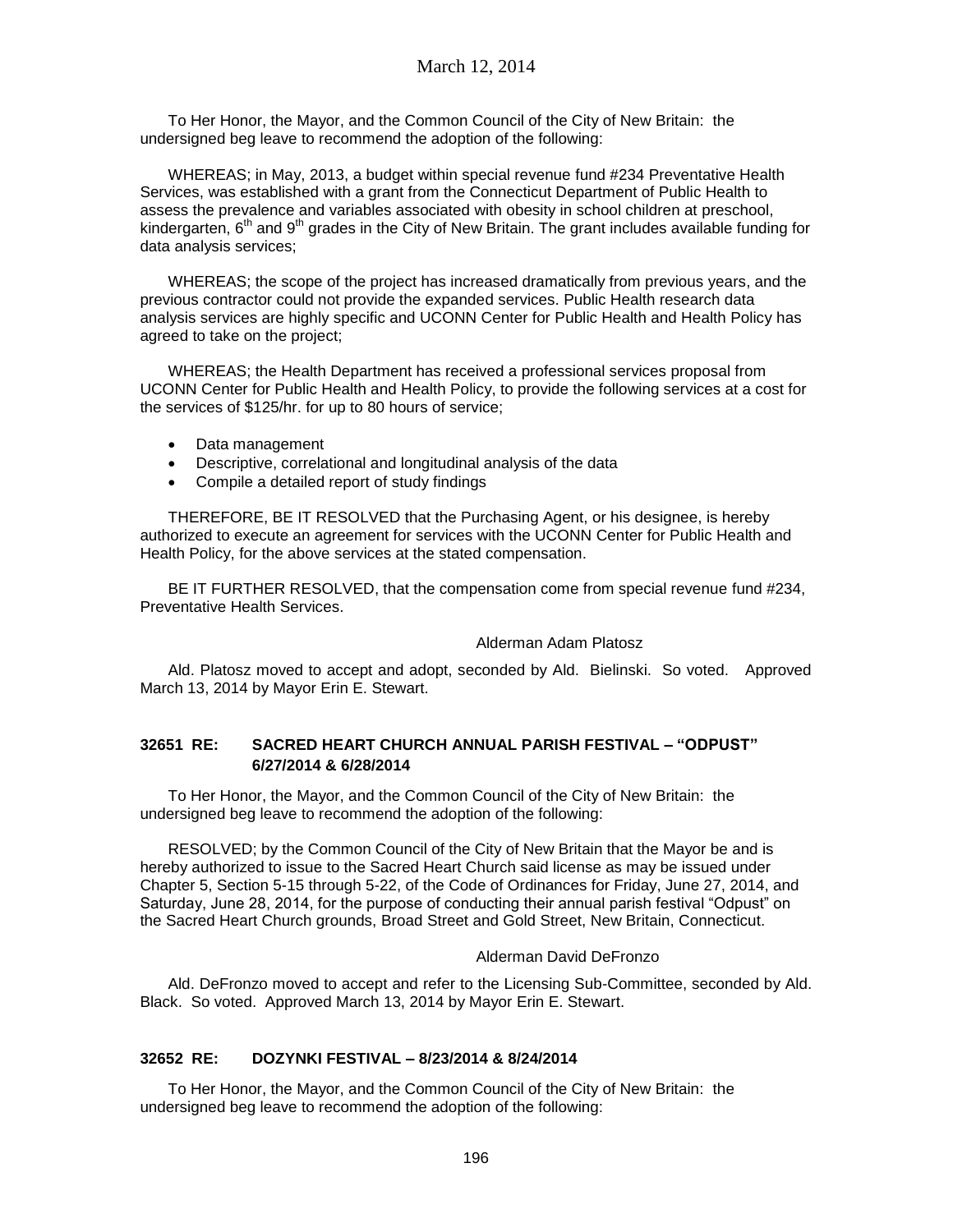To Her Honor, the Mayor, and the Common Council of the City of New Britain: the undersigned beg leave to recommend the adoption of the following:

WHEREAS; in May, 2013, a budget within special revenue fund #234 Preventative Health Services, was established with a grant from the Connecticut Department of Public Health to assess the prevalence and variables associated with obesity in school children at preschool, kindergarten,  $6<sup>th</sup>$  and  $9<sup>th</sup>$  grades in the City of New Britain. The grant includes available funding for data analysis services;

WHEREAS; the scope of the project has increased dramatically from previous years, and the previous contractor could not provide the expanded services. Public Health research data analysis services are highly specific and UCONN Center for Public Health and Health Policy has agreed to take on the project;

WHEREAS; the Health Department has received a professional services proposal from UCONN Center for Public Health and Health Policy, to provide the following services at a cost for the services of \$125/hr. for up to 80 hours of service;

- Data management
- Descriptive, correlational and longitudinal analysis of the data
- Compile a detailed report of study findings

THEREFORE, BE IT RESOLVED that the Purchasing Agent, or his designee, is hereby authorized to execute an agreement for services with the UCONN Center for Public Health and Health Policy, for the above services at the stated compensation.

BE IT FURTHER RESOLVED, that the compensation come from special revenue fund #234, Preventative Health Services.

### Alderman Adam Platosz

Ald. Platosz moved to accept and adopt, seconded by Ald. Bielinski. So voted. Approved March 13, 2014 by Mayor Erin E. Stewart.

## **32651 RE: SACRED HEART CHURCH ANNUAL PARISH FESTIVAL – "ODPUST" 6/27/2014 & 6/28/2014**

To Her Honor, the Mayor, and the Common Council of the City of New Britain: the undersigned beg leave to recommend the adoption of the following:

RESOLVED; by the Common Council of the City of New Britain that the Mayor be and is hereby authorized to issue to the Sacred Heart Church said license as may be issued under Chapter 5, Section 5-15 through 5-22, of the Code of Ordinances for Friday, June 27, 2014, and Saturday, June 28, 2014, for the purpose of conducting their annual parish festival "Odpust" on the Sacred Heart Church grounds, Broad Street and Gold Street, New Britain, Connecticut.

### Alderman David DeFronzo

Ald. DeFronzo moved to accept and refer to the Licensing Sub-Committee, seconded by Ald. Black. So voted. Approved March 13, 2014 by Mayor Erin E. Stewart.

## **32652 RE: DOZYNKI FESTIVAL – 8/23/2014 & 8/24/2014**

To Her Honor, the Mayor, and the Common Council of the City of New Britain: the undersigned beg leave to recommend the adoption of the following: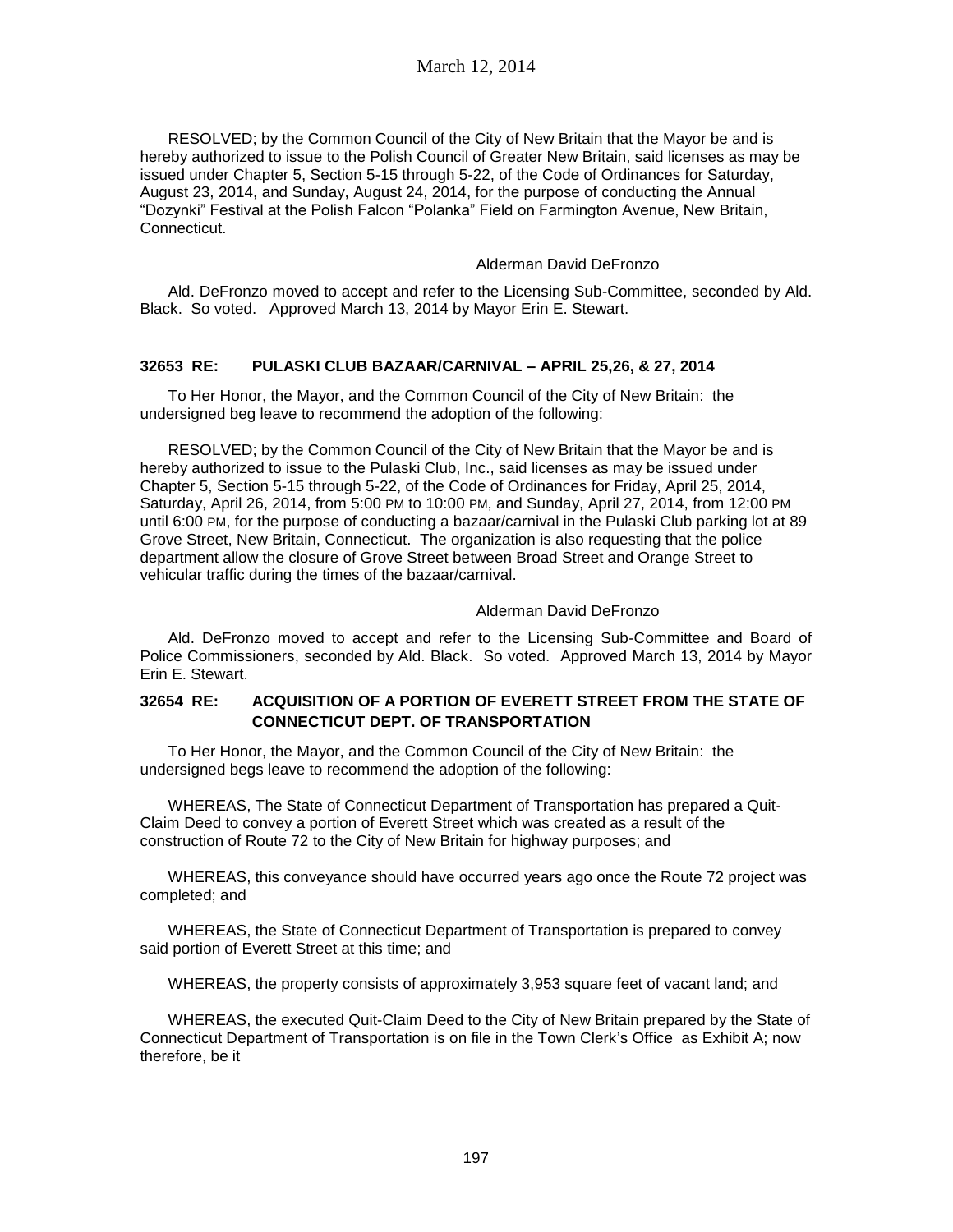RESOLVED; by the Common Council of the City of New Britain that the Mayor be and is hereby authorized to issue to the Polish Council of Greater New Britain, said licenses as may be issued under Chapter 5, Section 5-15 through 5-22, of the Code of Ordinances for Saturday, August 23, 2014, and Sunday, August 24, 2014, for the purpose of conducting the Annual "Dozynki" Festival at the Polish Falcon "Polanka" Field on Farmington Avenue, New Britain, Connecticut.

### Alderman David DeFronzo

Ald. DeFronzo moved to accept and refer to the Licensing Sub-Committee, seconded by Ald. Black. So voted. Approved March 13, 2014 by Mayor Erin E. Stewart.

### **32653 RE: PULASKI CLUB BAZAAR/CARNIVAL – APRIL 25,26, & 27, 2014**

To Her Honor, the Mayor, and the Common Council of the City of New Britain: the undersigned beg leave to recommend the adoption of the following:

RESOLVED; by the Common Council of the City of New Britain that the Mayor be and is hereby authorized to issue to the Pulaski Club, Inc., said licenses as may be issued under Chapter 5, Section 5-15 through 5-22, of the Code of Ordinances for Friday, April 25, 2014, Saturday, April 26, 2014, from 5:00 PM to 10:00 PM, and Sunday, April 27, 2014, from 12:00 PM until 6:00 PM, for the purpose of conducting a bazaar/carnival in the Pulaski Club parking lot at 89 Grove Street, New Britain, Connecticut. The organization is also requesting that the police department allow the closure of Grove Street between Broad Street and Orange Street to vehicular traffic during the times of the bazaar/carnival.

### Alderman David DeFronzo

Ald. DeFronzo moved to accept and refer to the Licensing Sub-Committee and Board of Police Commissioners, seconded by Ald. Black. So voted. Approved March 13, 2014 by Mayor Erin E. Stewart.

### **32654 RE: ACQUISITION OF A PORTION OF EVERETT STREET FROM THE STATE OF CONNECTICUT DEPT. OF TRANSPORTATION**

To Her Honor, the Mayor, and the Common Council of the City of New Britain: the undersigned begs leave to recommend the adoption of the following:

WHEREAS, The State of Connecticut Department of Transportation has prepared a Quit-Claim Deed to convey a portion of Everett Street which was created as a result of the construction of Route 72 to the City of New Britain for highway purposes; and

WHEREAS, this conveyance should have occurred years ago once the Route 72 project was completed; and

WHEREAS, the State of Connecticut Department of Transportation is prepared to convey said portion of Everett Street at this time; and

WHEREAS, the property consists of approximately 3,953 square feet of vacant land; and

WHEREAS, the executed Quit-Claim Deed to the City of New Britain prepared by the State of Connecticut Department of Transportation is on file in the Town Clerk's Office as Exhibit A; now therefore, be it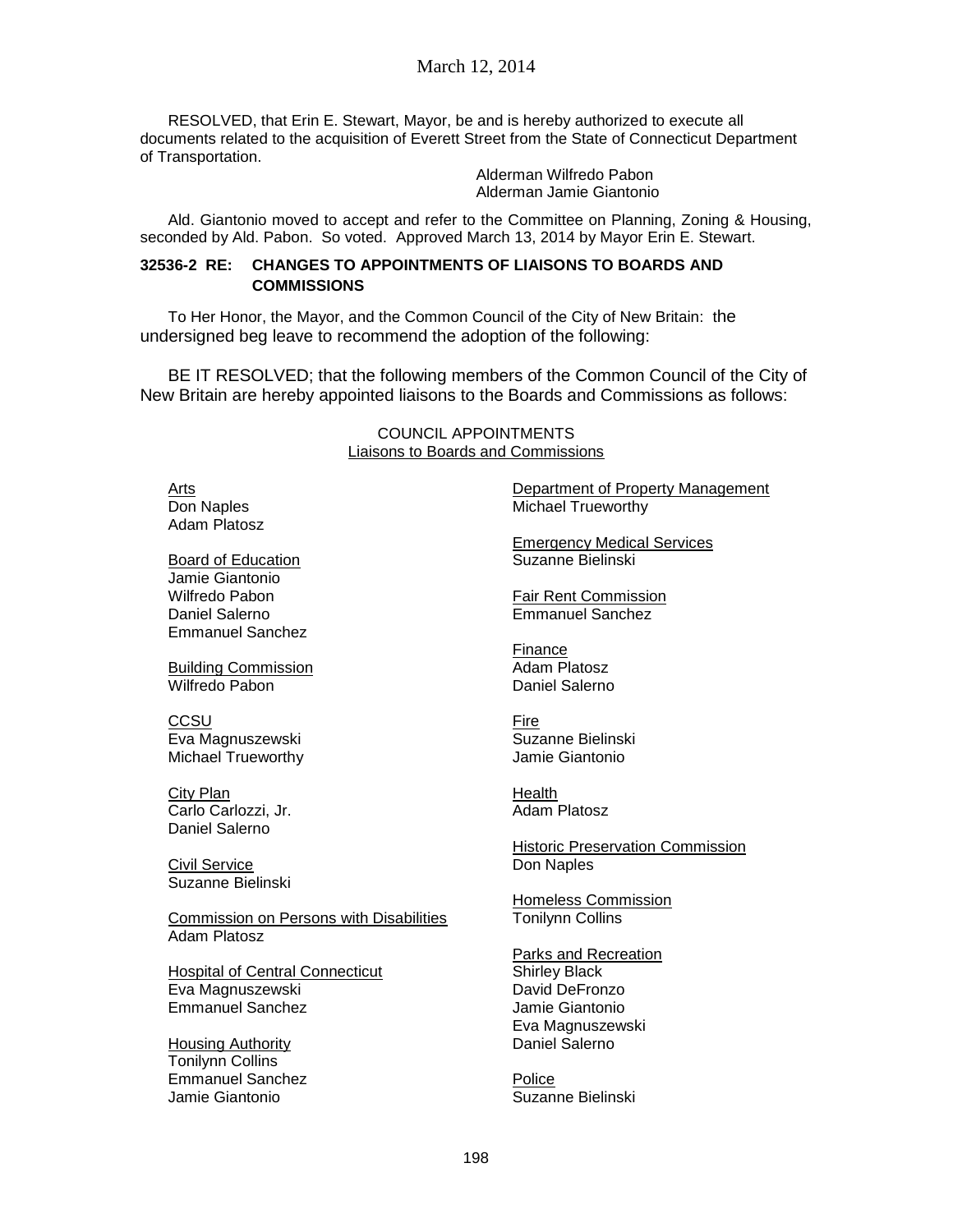RESOLVED, that Erin E. Stewart, Mayor, be and is hereby authorized to execute all documents related to the acquisition of Everett Street from the State of Connecticut Department of Transportation.

Alderman Wilfredo Pabon Alderman Jamie Giantonio

Ald. Giantonio moved to accept and refer to the Committee on Planning, Zoning & Housing, seconded by Ald. Pabon. So voted. Approved March 13, 2014 by Mayor Erin E. Stewart.

### **32536-2 RE: CHANGES TO APPOINTMENTS OF LIAISONS TO BOARDS AND COMMISSIONS**

To Her Honor, the Mayor, and the Common Council of the City of New Britain: the undersigned beg leave to recommend the adoption of the following:

BE IT RESOLVED; that the following members of the Common Council of the City of New Britain are hereby appointed liaisons to the Boards and Commissions as follows:

> COUNCIL APPOINTMENTS Liaisons to Boards and Commissions

Arts Don Naples Adam Platosz

Board of Education Jamie Giantonio Wilfredo Pabon Daniel Salerno Emmanuel Sanchez

Building Commission Wilfredo Pabon

**CCSU** Eva Magnuszewski Michael Trueworthy

City Plan Carlo Carlozzi, Jr. Daniel Salerno

Civil Service Suzanne Bielinski

Commission on Persons with Disabilities Adam Platosz

Hospital of Central Connecticut Eva Magnuszewski Emmanuel Sanchez

Housing Authority Tonilynn Collins Emmanuel Sanchez Jamie Giantonio

Department of Property Management Michael Trueworthy

Emergency Medical Services Suzanne Bielinski

Fair Rent Commission Emmanuel Sanchez

Finance Adam Platosz Daniel Salerno

Fire Suzanne Bielinski Jamie Giantonio

**Health** Adam Platosz

Historic Preservation Commission Don Naples

Homeless Commission Tonilynn Collins

Parks and Recreation Shirley Black David DeFronzo Jamie Giantonio Eva Magnuszewski Daniel Salerno

Police Suzanne Bielinski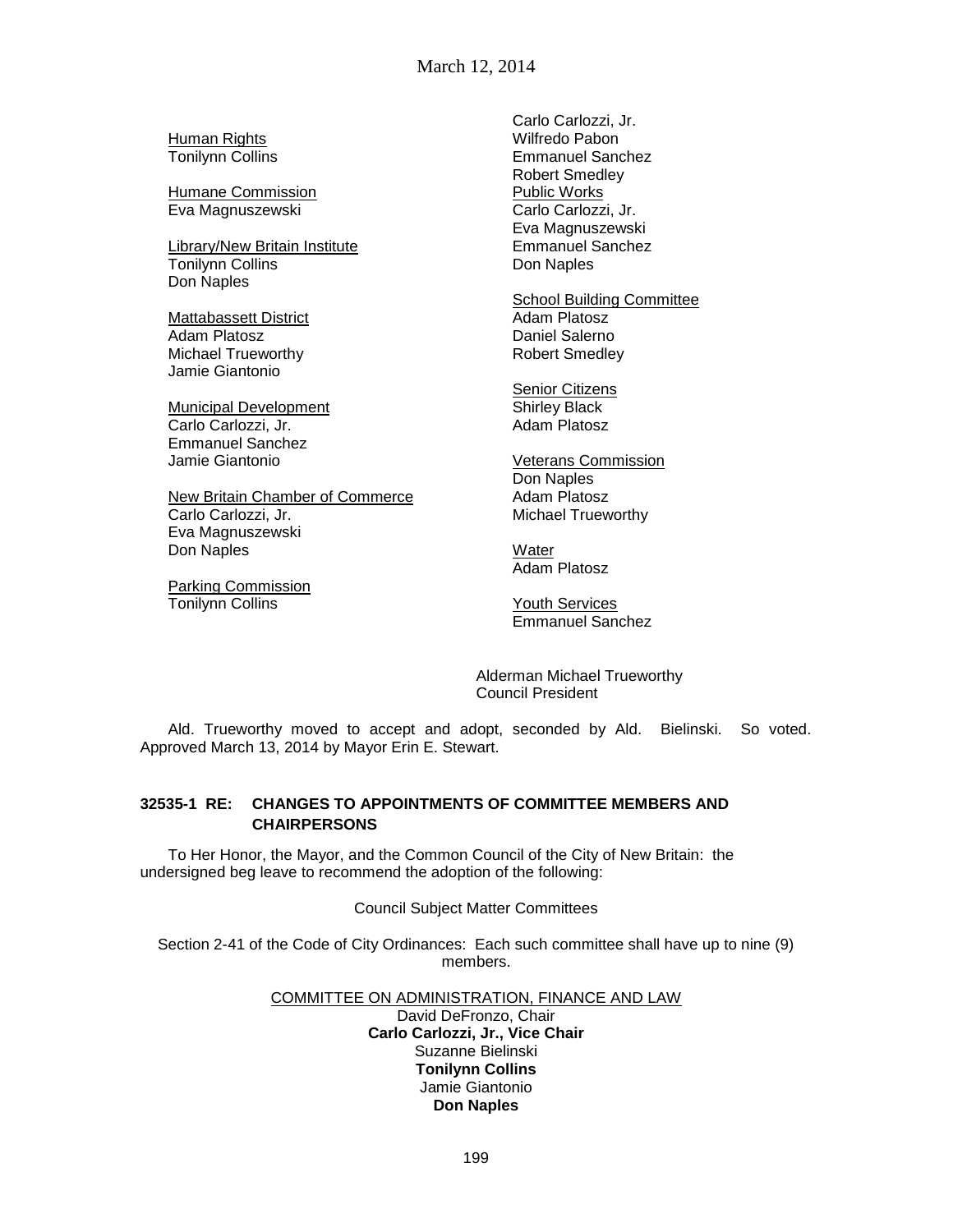March 12, 2014

**Human Rights** Tonilynn Collins

Humane Commission Eva Magnuszewski

Library/New Britain Institute Tonilynn Collins Don Naples

Mattabassett District Adam Platosz Michael Trueworthy Jamie Giantonio

Municipal Development Carlo Carlozzi, Jr. Emmanuel Sanchez Jamie Giantonio

New Britain Chamber of Commerce Carlo Carlozzi, Jr. Eva Magnuszewski Don Naples

Parking Commission Tonilynn Collins

Carlo Carlozzi, Jr. Wilfredo Pabon Emmanuel Sanchez Robert Smedley Public Works Carlo Carlozzi, Jr. Eva Magnuszewski Emmanuel Sanchez Don Naples

School Building Committee Adam Platosz Daniel Salerno Robert Smedley

Senior Citizens Shirley Black Adam Platosz

Veterans Commission Don Naples Adam Platosz Michael Trueworthy

**Water** Adam Platosz

Youth Services Emmanuel Sanchez

Alderman Michael Trueworthy Council President

Ald. Trueworthy moved to accept and adopt, seconded by Ald. Bielinski. So voted. Approved March 13, 2014 by Mayor Erin E. Stewart.

## **32535-1 RE: CHANGES TO APPOINTMENTS OF COMMITTEE MEMBERS AND CHAIRPERSONS**

To Her Honor, the Mayor, and the Common Council of the City of New Britain: the undersigned beg leave to recommend the adoption of the following:

Council Subject Matter Committees

Section 2-41 of the Code of City Ordinances: Each such committee shall have up to nine (9) members.

#### COMMITTEE ON ADMINISTRATION, FINANCE AND LAW

David DeFronzo, Chair **Carlo Carlozzi, Jr., Vice Chair** Suzanne Bielinski **Tonilynn Collins** Jamie Giantonio **Don Naples**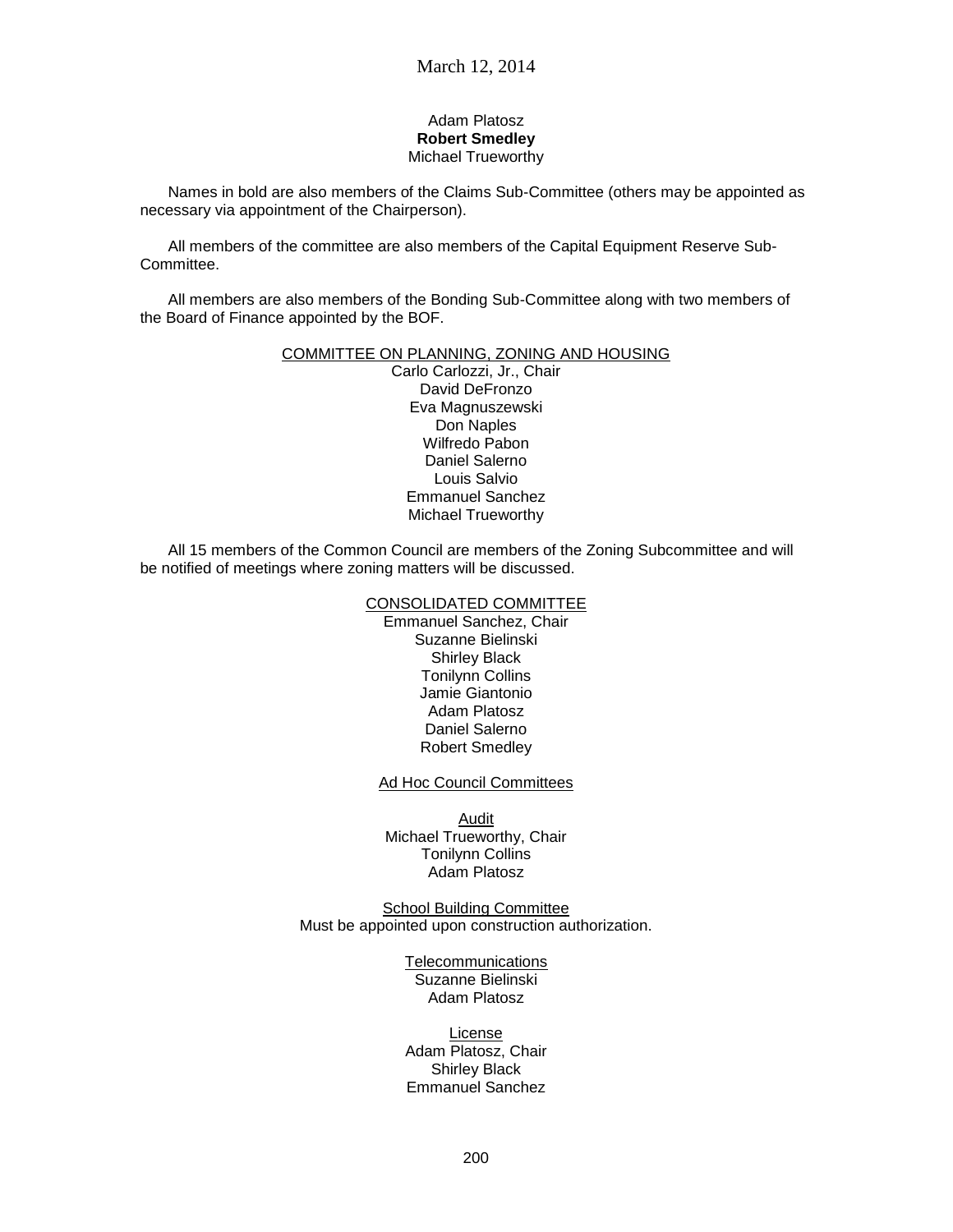#### Adam Platosz **Robert Smedley** Michael Trueworthy

Names in bold are also members of the Claims Sub-Committee (others may be appointed as necessary via appointment of the Chairperson).

All members of the committee are also members of the Capital Equipment Reserve Sub-Committee.

All members are also members of the Bonding Sub-Committee along with two members of the Board of Finance appointed by the BOF.

#### COMMITTEE ON PLANNING, ZONING AND HOUSING

Carlo Carlozzi, Jr., Chair David DeFronzo Eva Magnuszewski Don Naples Wilfredo Pabon Daniel Salerno Louis Salvio Emmanuel Sanchez Michael Trueworthy

All 15 members of the Common Council are members of the Zoning Subcommittee and will be notified of meetings where zoning matters will be discussed.

#### CONSOLIDATED COMMITTEE

Emmanuel Sanchez, Chair Suzanne Bielinski Shirley Black Tonilynn Collins Jamie Giantonio Adam Platosz Daniel Salerno Robert Smedley

Ad Hoc Council Committees

Audit Michael Trueworthy, Chair Tonilynn Collins Adam Platosz

School Building Committee Must be appointed upon construction authorization.

> Telecommunications Suzanne Bielinski Adam Platosz

License Adam Platosz, Chair Shirley Black Emmanuel Sanchez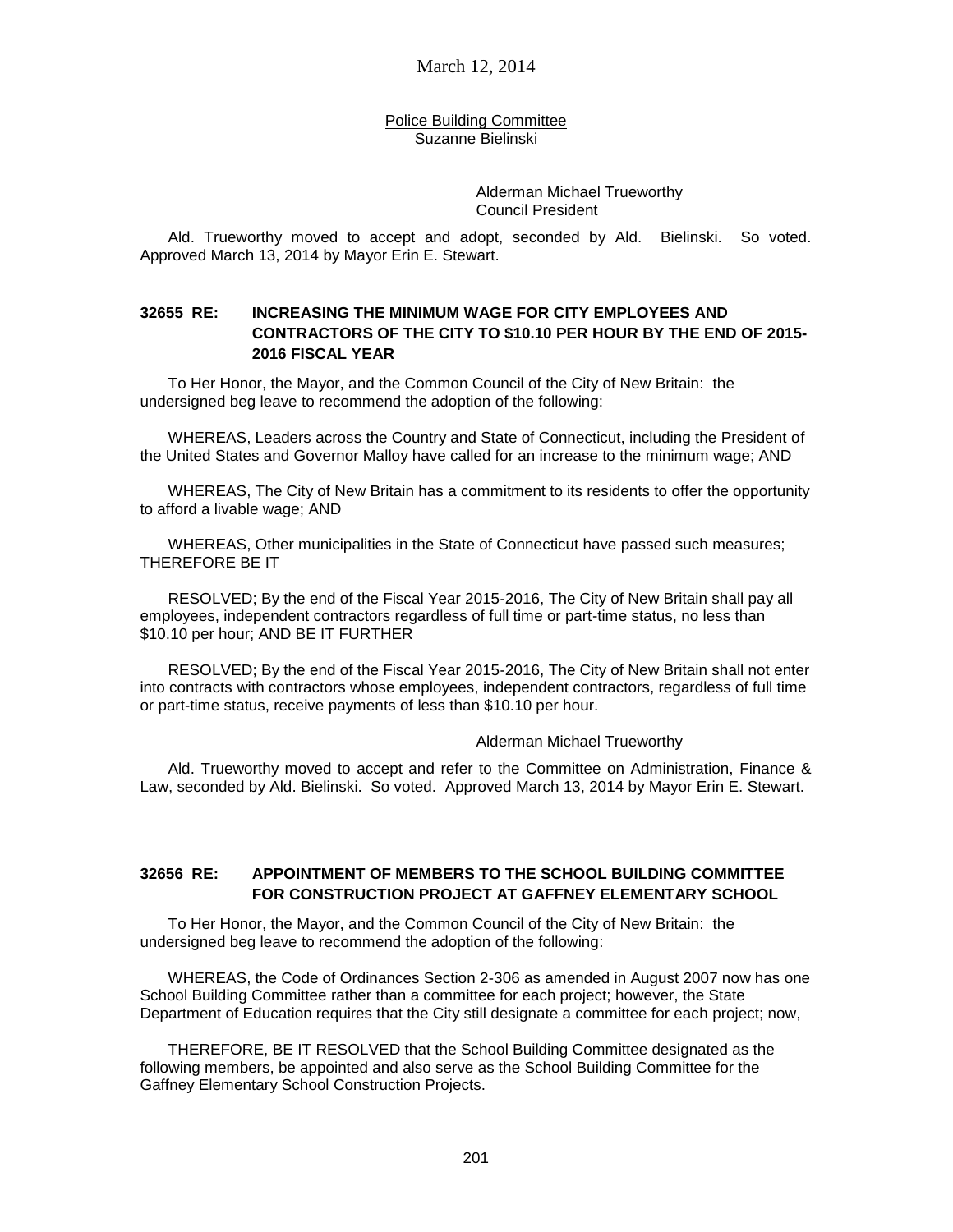Police Building Committee Suzanne Bielinski

> Alderman Michael Trueworthy Council President

Ald. Trueworthy moved to accept and adopt, seconded by Ald. Bielinski. So voted. Approved March 13, 2014 by Mayor Erin E. Stewart.

### **32655 RE: INCREASING THE MINIMUM WAGE FOR CITY EMPLOYEES AND CONTRACTORS OF THE CITY TO \$10.10 PER HOUR BY THE END OF 2015- 2016 FISCAL YEAR**

To Her Honor, the Mayor, and the Common Council of the City of New Britain: the undersigned beg leave to recommend the adoption of the following:

WHEREAS, Leaders across the Country and State of Connecticut, including the President of the United States and Governor Malloy have called for an increase to the minimum wage; AND

WHEREAS, The City of New Britain has a commitment to its residents to offer the opportunity to afford a livable wage; AND

WHEREAS, Other municipalities in the State of Connecticut have passed such measures; THEREFORE BE IT

RESOLVED; By the end of the Fiscal Year 2015-2016, The City of New Britain shall pay all employees, independent contractors regardless of full time or part-time status, no less than \$10.10 per hour; AND BE IT FURTHER

RESOLVED; By the end of the Fiscal Year 2015-2016, The City of New Britain shall not enter into contracts with contractors whose employees, independent contractors, regardless of full time or part-time status, receive payments of less than \$10.10 per hour.

#### Alderman Michael Trueworthy

Ald. Trueworthy moved to accept and refer to the Committee on Administration, Finance & Law, seconded by Ald. Bielinski. So voted. Approved March 13, 2014 by Mayor Erin E. Stewart.

### **32656 RE: APPOINTMENT OF MEMBERS TO THE SCHOOL BUILDING COMMITTEE FOR CONSTRUCTION PROJECT AT GAFFNEY ELEMENTARY SCHOOL**

To Her Honor, the Mayor, and the Common Council of the City of New Britain: the undersigned beg leave to recommend the adoption of the following:

WHEREAS, the Code of Ordinances Section 2-306 as amended in August 2007 now has one School Building Committee rather than a committee for each project; however, the State Department of Education requires that the City still designate a committee for each project; now,

THEREFORE, BE IT RESOLVED that the School Building Committee designated as the following members, be appointed and also serve as the School Building Committee for the Gaffney Elementary School Construction Projects.